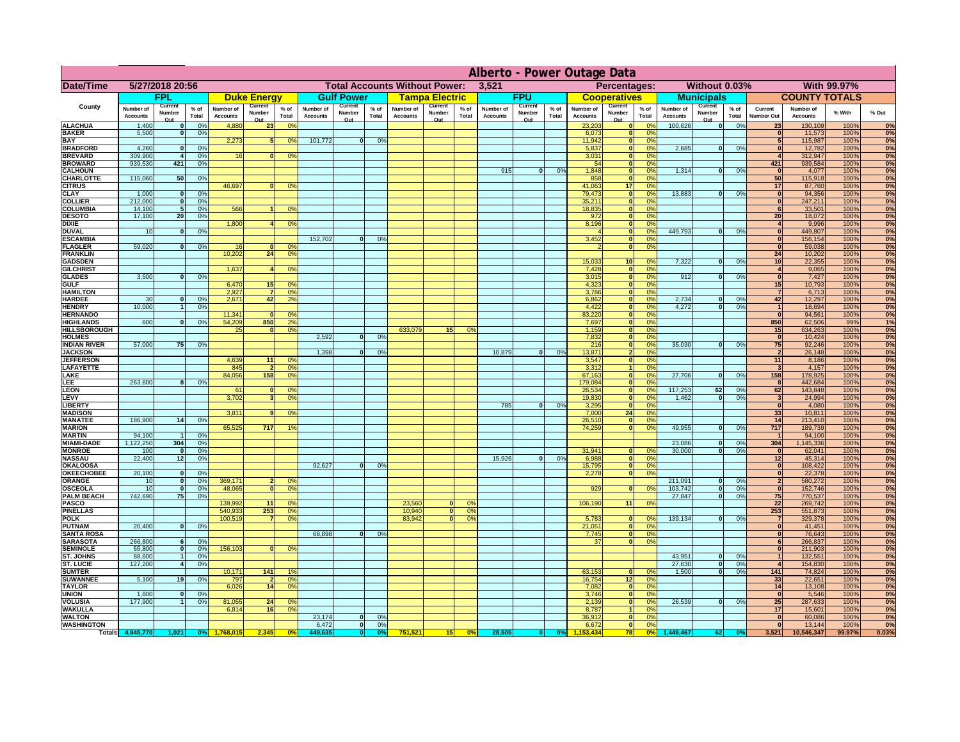|                                      |                                     |                                        |                        |                                     |                                        |                      |                              |                                        |                      |                                      |                                        |                      |                              |                                        |                      | Alberto - Power Outage Data  |                                 |                      |                                     |                                                    |                      |                                     |                                     |                    |                        |
|--------------------------------------|-------------------------------------|----------------------------------------|------------------------|-------------------------------------|----------------------------------------|----------------------|------------------------------|----------------------------------------|----------------------|--------------------------------------|----------------------------------------|----------------------|------------------------------|----------------------------------------|----------------------|------------------------------|---------------------------------|----------------------|-------------------------------------|----------------------------------------------------|----------------------|-------------------------------------|-------------------------------------|--------------------|------------------------|
| Date/Time                            | 5/27/2018 20:56                     |                                        |                        |                                     |                                        |                      |                              |                                        |                      | <b>Total Accounts Without Power:</b> |                                        |                      | 3,521                        |                                        |                      |                              | <b>Percentages:</b>             |                      |                                     | Without 0.03%                                      |                      |                                     |                                     | <b>With 99.97%</b> |                        |
|                                      | <b>FPL</b>                          |                                        |                        | <b>Duke Energy</b>                  |                                        | <b>Gulf Power</b>    |                              | <u>Tampa Electric</u>                  |                      |                                      | <b>FPU</b>                             |                      | <b>Cooperatives</b>          |                                        | <b>Municipals</b>    |                              |                                 | <b>COUNTY TOTALS</b> |                                     |                                                    |                      |                                     |                                     |                    |                        |
| <b>County</b>                        | <b>Number of</b><br><b>Accounts</b> | <b>Current</b><br><b>Number</b><br>Out | $%$ of<br><b>Total</b> | <b>Number of</b><br><b>Accounts</b> | <b>Current</b><br><b>Number</b><br>Out | % of<br><b>Total</b> | Number of<br><b>Accounts</b> | <b>Current</b><br><b>Number</b><br>Out | % of<br><b>Total</b> | Number of<br><b>Accounts</b>         | <b>Current</b><br><b>Number</b><br>Out | % of<br><b>Total</b> | Number of<br><b>Accounts</b> | <b>Current</b><br><b>Number</b><br>Out | % of<br><b>Total</b> | Number of<br><b>Accounts</b> | Current<br><b>Number</b><br>Out | % of<br><b>Total</b> | <b>Number of</b><br><b>Accounts</b> | <b>Current</b><br><b>Number</b><br>Q <sub>II</sub> | % of<br><b>Total</b> | <b>Current</b><br><b>Number Out</b> | <b>Number of</b><br><b>Accounts</b> | % With             | % Out                  |
| <b>ALACHUA</b>                       | 1,400                               | $\Omega$                               |                        | 4,880                               | 23                                     | 0%                   |                              |                                        |                      |                                      |                                        |                      |                              |                                        |                      | 23,203                       |                                 | 0%                   | 100,626                             |                                                    | 0%                   | 23                                  | 130,109                             | 100%               | 0%                     |
| <b>BAKER</b><br><b>BAY</b>           | 5,500                               |                                        | 0%                     | 2,273                               |                                        | 0%                   | 101,772                      | $\Omega$                               |                      |                                      |                                        |                      |                              |                                        |                      | 6,073<br>11,942              |                                 | 0%<br>0%             |                                     |                                                    |                      |                                     | 11,573<br>115,987                   | 100%<br>100%       | 0%<br>$\overline{0\%}$ |
| <b>BRADFORD</b>                      | 4,260                               | 0                                      |                        |                                     |                                        |                      |                              |                                        |                      |                                      |                                        |                      |                              |                                        |                      | 5,837                        |                                 | 0%                   | 2,685                               | nl                                                 | 0%                   |                                     | 12,782                              | 100%               | 0%                     |
| <b>BREVARD</b>                       | 309,900                             |                                        | 0%                     |                                     | $\Omega$                               | 0%                   |                              |                                        |                      |                                      |                                        |                      |                              |                                        |                      | 3,031                        |                                 | 0%                   |                                     |                                                    |                      |                                     | 312,947                             | 100%               | 0%                     |
| <b>BROWARD</b>                       | 939,530                             | 421                                    | 0%                     |                                     |                                        |                      |                              |                                        |                      |                                      |                                        |                      |                              |                                        |                      | 54                           |                                 | 0%                   |                                     |                                                    |                      | 421                                 | 939,584                             | 100%               | 0%                     |
| <b>CALHOUN</b><br><b>CHARLOTTE</b>   | 115,060                             | 50                                     | 0%                     |                                     |                                        |                      |                              |                                        |                      |                                      |                                        |                      | 915                          |                                        | 0%                   | 1,848<br>858                 | $\Omega$                        | 0%<br>0%             | 1,314                               |                                                    | 0%                   | 50                                  | 4,077<br>115,918                    | 100%<br>100%       | 0%<br>0%               |
| <b>CITRUS</b>                        |                                     |                                        |                        | 46,697                              | $\Omega$                               | 0%                   |                              |                                        |                      |                                      |                                        |                      |                              |                                        |                      | 41,063                       | 17                              | 0%                   |                                     |                                                    |                      | 17                                  | 87,760                              | 100%               | 0%                     |
| <b>CLAY</b>                          | 1,000                               | 0                                      | 0%                     |                                     |                                        |                      |                              |                                        |                      |                                      |                                        |                      |                              |                                        |                      | 79,473                       |                                 | 0%                   | 13,883                              | ΩL                                                 | 0%                   |                                     | 94,356                              | 100%               | $\overline{0\%}$       |
| <b>COLLIER</b>                       | 212,000                             | 0                                      | 0%                     |                                     |                                        |                      |                              |                                        |                      |                                      |                                        |                      |                              |                                        |                      | 35,211                       |                                 | 0%                   |                                     |                                                    |                      |                                     | 247,211                             | 100%               | 0%                     |
| <b>COLUMBIA</b><br><b>DESOTO</b>     | 14,100<br>17,100                    | 20 <sup>1</sup>                        | 0%<br>0%               | 566                                 |                                        | 0%                   |                              |                                        |                      |                                      |                                        |                      |                              |                                        |                      | 18,835<br>972                |                                 | 0%<br>0%             |                                     |                                                    |                      | 20 <sup>1</sup>                     | 33,501<br>18,072                    | 100%<br>100%       | $\overline{0\%}$<br>0% |
| <b>DIXIE</b>                         |                                     |                                        |                        | 1,800                               |                                        | 0%                   |                              |                                        |                      |                                      |                                        |                      |                              |                                        |                      | 8,196                        |                                 | 0%                   |                                     |                                                    |                      |                                     | 9,996                               | 100%               | 0%                     |
| <b>DUVAL</b>                         | 10                                  | ∩                                      | 0%                     |                                     |                                        |                      |                              |                                        |                      |                                      |                                        |                      |                              |                                        |                      |                              |                                 | 0%                   | 449,793                             | $\Omega$                                           | 0%                   |                                     | 449,807                             | 100%               | 0%                     |
| <b>ESCAMBIA</b>                      |                                     |                                        |                        |                                     |                                        |                      | 152,702                      | $\Omega$                               |                      |                                      |                                        |                      |                              |                                        |                      | 3,452                        |                                 | 0%                   |                                     |                                                    |                      |                                     | 156,154                             | 100%               | 0%                     |
| <b>FLAGLER</b>                       | 59,020                              | ി                                      | 0%                     |                                     | n                                      | 0%                   |                              |                                        |                      |                                      |                                        |                      |                              |                                        |                      |                              |                                 | 0%                   |                                     |                                                    |                      |                                     | 59,038                              | 100%               | $\overline{0\%}$       |
| <b>FRANKLIN</b><br><b>GADSDEN</b>    |                                     |                                        |                        | 10,202                              | 24                                     | 0%                   |                              |                                        |                      |                                      |                                        |                      |                              |                                        |                      | 15,033                       | 10 <sup>1</sup>                 | 0%                   | 7,322                               | n                                                  | 0%                   | 24<br>10 <sup>1</sup>               | 10,202<br>22,355                    | 100%<br>100%       | 0%<br>0%               |
| <b>GILCHRIST</b>                     |                                     |                                        |                        | 1,637                               |                                        | 0%                   |                              |                                        |                      |                                      |                                        |                      |                              |                                        |                      | 7,428                        | - 0                             | 0%                   |                                     |                                                    |                      |                                     | 9,065                               | 100%               | 0%                     |
| <b>GLADES</b>                        | 3,500                               | $\Omega$                               | 0%                     |                                     |                                        |                      |                              |                                        |                      |                                      |                                        |                      |                              |                                        |                      | 3,015                        |                                 | 0%                   | 912                                 |                                                    | 0%                   |                                     | 7,427                               | 100%               | 0%                     |
| <b>GULF</b>                          |                                     |                                        |                        | 6,47                                | 15                                     | 0%                   |                              |                                        |                      |                                      |                                        |                      |                              |                                        |                      | 4,323                        |                                 | 0%                   |                                     |                                                    |                      | 15                                  | 10,793                              | 100%               | 0%                     |
| <b>HAMILTON</b><br><b>HARDEE</b>     | 30 <sup>°</sup>                     | n                                      | 0%                     | 2,927<br>2,671                      | $\overline{7}$<br><b>42</b>            | 0%<br>2%             |                              |                                        |                      |                                      |                                        |                      |                              |                                        |                      | 3,786<br>6,862               | $\mathbf{0}$                    | 0%<br>0%             | 2,734                               | ΩI                                                 | 0%                   | 42                                  | 6,713<br>12,297                     | 100%<br>100%       | 0%<br>0%               |
| <b>HENDRY</b>                        | 10,000                              |                                        |                        |                                     |                                        |                      |                              |                                        |                      |                                      |                                        |                      |                              |                                        |                      | 4,422                        |                                 | 0%                   | 4,272                               |                                                    | 0%                   |                                     | 18,694                              | 100%               | 0%                     |
| <b>HERNANDO</b>                      |                                     |                                        |                        | 11,341                              |                                        | 0%                   |                              |                                        |                      |                                      |                                        |                      |                              |                                        |                      | 83,220                       |                                 | 0%                   |                                     |                                                    |                      |                                     | 94,561                              | 100%               | 0%                     |
| <b>HIGHLANDS</b>                     | 600                                 |                                        |                        | 54,209                              | 850                                    | 2%                   |                              |                                        |                      |                                      |                                        |                      |                              |                                        |                      | 7,697                        |                                 | 0%                   |                                     |                                                    |                      | 850                                 | 62,506                              | 99%                | 1%                     |
| <b>HILLSBOROUGH</b>                  |                                     |                                        |                        | 25                                  | n                                      | 0%                   |                              |                                        |                      | 633,079                              | 15                                     | 0%                   |                              |                                        |                      | 1,159                        |                                 | 0%                   |                                     |                                                    |                      | 15                                  | 634,263                             | 100%               | 0%                     |
| <b>HOLMES</b><br><b>INDIAN RIVER</b> | 57,000                              | 75                                     | 0%                     |                                     |                                        |                      | 2,592                        |                                        | 0%                   |                                      |                                        |                      |                              |                                        |                      | 7,832<br>216                 |                                 | 0%<br>0%             | 35,030                              |                                                    | 0%                   | 75                                  | 10,424<br>92,246                    | 100%<br>100%       | 0%<br>0%               |
| <b>JACKSON</b>                       |                                     |                                        |                        |                                     |                                        |                      | 1,398                        |                                        |                      |                                      |                                        |                      | 10,879                       |                                        | 0%                   | 13,871                       |                                 | 0%                   |                                     |                                                    |                      |                                     | 26,148                              | 100%               | 0%                     |
| <b>JEFFERSON</b>                     |                                     |                                        |                        | 4,639                               | 11                                     | 0%                   |                              |                                        |                      |                                      |                                        |                      |                              |                                        |                      | 3,547                        |                                 | 0%                   |                                     |                                                    |                      | 11                                  | 8,186                               | 100%               | 0%                     |
| <b>LAFAYETTE</b>                     |                                     |                                        |                        | 845                                 |                                        | 0%                   |                              |                                        |                      |                                      |                                        |                      |                              |                                        |                      | 3,312                        |                                 | 0%                   |                                     |                                                    |                      |                                     | 4,157                               | 100%               | 0%                     |
| <b>LAKE</b>                          |                                     |                                        |                        | 84,056                              | 158                                    | 0%                   |                              |                                        |                      |                                      |                                        |                      |                              |                                        |                      | 67,163                       |                                 | 0%                   | 27,706                              |                                                    | 0%                   | 158                                 | 178,925                             | 100%               | 0%                     |
| <b>LEE</b><br><b>LEON</b>            | 263,600                             | $\mathbf{8}$                           |                        | 61                                  | n                                      | 0%                   |                              |                                        |                      |                                      |                                        |                      |                              |                                        |                      | 179,084<br>26,534            |                                 | 0%<br>0%             | 117,253                             | 62                                                 | 0%                   | 62                                  | 442,684<br>143,848                  | 100%<br>100%       | 0%<br>0%               |
| <b>LEVY</b>                          |                                     |                                        |                        | 3,702                               |                                        | 0%                   |                              |                                        |                      |                                      |                                        |                      |                              |                                        |                      | 19,830                       | $\Omega$                        | 0%                   | 1,462                               | ΩI                                                 | 0%                   | $\mathbf{3}$                        | 24,994                              | 100%               | 0%                     |
| <b>LIBERTY</b>                       |                                     |                                        |                        |                                     |                                        |                      |                              |                                        |                      |                                      |                                        |                      | 785                          |                                        |                      | 3,295                        |                                 | 0%                   |                                     |                                                    |                      |                                     | 4,080                               | 100%               | 0%                     |
| <b>MADISON</b>                       |                                     |                                        |                        | 3,811                               | $\Omega$                               | 0%                   |                              |                                        |                      |                                      |                                        |                      |                              |                                        |                      | 7,000                        | 24                              | 0%                   |                                     |                                                    |                      | 33                                  | 10,811                              | 100%               | 0%                     |
| <b>MANATEE</b>                       | 186,900                             | 14                                     |                        |                                     |                                        |                      |                              |                                        |                      |                                      |                                        |                      |                              |                                        |                      | 26,510                       |                                 | 0%                   |                                     |                                                    |                      | 14                                  | 213,410                             | 100%               | 0%                     |
| <b>MARION</b><br><b>MARTIN</b>       | 94,100                              |                                        | 0%                     | 65,525                              | 717                                    | $1\%$                |                              |                                        |                      |                                      |                                        |                      |                              |                                        |                      | 74,259                       |                                 | 0%                   | 49,955                              | 0I                                                 | 0%                   | 717                                 | 189,739<br>94,100                   | 100%<br>100%       | 0%<br>0%               |
| <b>MIAMI-DADE</b>                    | 1,122,250                           | 304                                    | 0%                     |                                     |                                        |                      |                              |                                        |                      |                                      |                                        |                      |                              |                                        |                      |                              |                                 |                      | 23,086                              |                                                    | 0%                   | 304                                 | 1,145,336                           | 100%               | 0%                     |
| <b>MONROE</b>                        | 100                                 | $\mathbf{0}$                           | 0%                     |                                     |                                        |                      |                              |                                        |                      |                                      |                                        |                      |                              |                                        |                      | 31,941                       |                                 | 0%                   | 30,000                              |                                                    | 0%                   |                                     | 62,041                              | 100%               | 0%                     |
| <b>NASSAU</b>                        | 22,400                              | 12                                     | 0%                     |                                     |                                        |                      |                              |                                        |                      |                                      |                                        |                      | 15,926                       |                                        | 0%                   | 6,988                        |                                 | 0%                   |                                     |                                                    |                      | 12                                  | 45,314                              | 100%               | 0%                     |
| <b>OKALOOSA</b><br><b>OKEECHOBEE</b> | 20,100                              | $\mathbf{0}$                           | 0%                     |                                     |                                        |                      | 92,627                       |                                        |                      |                                      |                                        |                      |                              |                                        |                      | 15,795<br>2,278              |                                 | 0%<br>0%             |                                     |                                                    |                      |                                     | 108,422<br>22,378                   | 100%<br>100%       | 0%<br>0%               |
| <b>ORANGE</b>                        | 10                                  | $\Omega$                               |                        | 369,171                             |                                        | 0%                   |                              |                                        |                      |                                      |                                        |                      |                              |                                        |                      |                              |                                 |                      | 211,091                             |                                                    | 0%                   | $\overline{2}$                      | 580,272                             | 100%               | 0%                     |
| <b>OSCEOLA</b>                       | 10                                  | n                                      |                        | 48,065                              | $\Omega$                               | 0%                   |                              |                                        |                      |                                      |                                        |                      |                              |                                        |                      | 929                          | $\Omega$                        | 0%                   | 103,742                             |                                                    | 0%                   |                                     | 152,746                             | 100%               | 0%                     |
| <b>PALM BEACH</b>                    | 742,690                             | 75                                     | 0%                     |                                     |                                        |                      |                              |                                        |                      |                                      |                                        |                      |                              |                                        |                      |                              |                                 |                      | 27,847                              |                                                    | 0%                   | 75                                  | 770,537                             | 100%               | 0%                     |
| <b>PASCO</b>                         |                                     |                                        |                        | 139,992                             | 11                                     | 0%                   |                              |                                        |                      | 23,560                               |                                        | 0%                   |                              |                                        |                      | 106,190                      | 11                              | 0%                   |                                     |                                                    |                      | 22                                  | 269,742                             | 100%               | 0%                     |
| <b>PINELLAS</b><br><b>POLK</b>       |                                     |                                        |                        | 540,93<br>100,519                   | 253                                    | 0%<br>0%             |                              |                                        |                      | 10,940<br>83,942                     |                                        | 0%<br>0%             |                              |                                        |                      | 5,783                        |                                 | 0%                   | 139,134                             |                                                    | 0%                   | 253                                 | 551,873<br>329,378                  | 100%<br>100%       | 0%<br>0%               |
| <b>PUTNAM</b>                        | 20,400                              | $\mathbf{0}$                           | 0%                     |                                     |                                        |                      |                              |                                        |                      |                                      |                                        |                      |                              |                                        |                      | 21,051                       |                                 | 0%                   |                                     |                                                    |                      |                                     | 41.451                              | 100%               | 0%                     |
| <b>SANTA ROSA</b>                    |                                     |                                        |                        |                                     |                                        |                      | 68,898                       |                                        | 0%                   |                                      |                                        |                      |                              |                                        |                      | 7,745                        |                                 | 0%                   |                                     |                                                    |                      |                                     | 76,643                              | 100%               | 0%                     |
| <b>SARASOTA</b>                      | 266,800                             |                                        | 0%                     |                                     |                                        |                      |                              |                                        |                      |                                      |                                        |                      |                              |                                        |                      | 37                           | $\Omega$                        | 0%                   |                                     |                                                    |                      |                                     | 266,837                             | 100%               | 0%                     |
| <b>SEMINOLE</b>                      | 55,800                              | $\Omega$                               |                        | 156,103                             |                                        | 0%                   |                              |                                        |                      |                                      |                                        |                      |                              |                                        |                      |                              |                                 |                      |                                     |                                                    |                      |                                     | 211,903                             | 100%               | 0%                     |
| <b>ST. JOHNS</b><br><b>ST. LUCIE</b> | 88,600<br>127,200                   |                                        | 0%<br>0%               |                                     |                                        |                      |                              |                                        |                      |                                      |                                        |                      |                              |                                        |                      |                              |                                 |                      | 43,951<br>27,630                    |                                                    | 0%<br>0%             |                                     | 132,551<br>154,830                  | 100%<br>100%       | 0%<br>0%               |
| <b>SUMTER</b>                        |                                     |                                        |                        | 10,171                              | 141                                    | 1%                   |                              |                                        |                      |                                      |                                        |                      |                              |                                        |                      | 63,153                       |                                 | 0%                   | 1,500                               | $\mathsf{N}$                                       | 0%                   | 141                                 | 74,824                              | 100%               | 0%                     |
| <b>SUWANNEE</b>                      | 5,100                               | 19                                     | 0%                     | 797                                 | $\mathbf{2}$                           | 0%                   |                              |                                        |                      |                                      |                                        |                      |                              |                                        |                      | 16,754                       | 12                              | 0%                   |                                     |                                                    |                      | 33                                  | 22,651                              | 100%               | $\overline{0\%}$       |
| <b>TAYLOR</b>                        |                                     |                                        |                        | 6,026                               | 14                                     | 0%                   |                              |                                        |                      |                                      |                                        |                      |                              |                                        |                      | 7,082                        |                                 | 0%                   |                                     |                                                    |                      | 14                                  | 13,108                              | 100%               | 0%                     |
| <b>UNION</b>                         | 1,800                               | $\Omega$                               | 0%                     |                                     |                                        |                      |                              |                                        |                      |                                      |                                        |                      |                              |                                        |                      | 3,746                        |                                 | 0%                   |                                     |                                                    |                      |                                     | 5,546                               | 100%               | 0%                     |
| <b>VOLUSIA</b><br><b>WAKULLA</b>     | 177,900                             |                                        | 0%                     | 81,055<br>6,814                     | 24<br>16                               | 0%<br>0%             |                              |                                        |                      |                                      |                                        |                      |                              |                                        |                      | 2,139<br>8,787               |                                 | 0%<br>0%             | 26,539                              | ΩL                                                 | 0%                   | 25<br>17                            | 287,633<br>15,601                   | 100%<br>100%       | 0%<br>0%               |
| <b>WALTON</b>                        |                                     |                                        |                        |                                     |                                        |                      | 23,174                       | $\mathbf{0}$                           | 0 <sup>0</sup>       |                                      |                                        |                      |                              |                                        |                      | 36,912                       |                                 | 0%                   |                                     |                                                    |                      |                                     | 60,086                              | 100%               | 0%                     |
| <b>WASHINGTON</b>                    |                                     |                                        |                        |                                     |                                        |                      | 6,472                        |                                        | $\Omega\%$           |                                      |                                        |                      |                              |                                        |                      | 6,672                        |                                 | 0%                   |                                     |                                                    |                      |                                     | 13,144                              | 100%               | 0%                     |
| <b>Totals</b>                        | 4,945,770                           | 1,021                                  |                        | $\mid$ 0% 1,768,015                 | 2,345                                  | $ 0\% $              | 449,635                      |                                        | 0%                   | 751,521                              | 15                                     | 0%                   | 28,505                       |                                        | $\log$<br> 0         | 1,153,434                    | 78                              | $ 0\% $              | 1,449,467                           | 62                                                 | $\mathbf{0\%}$       | 3,521                               | 10,546,347                          | 99.97%             | 0.03%                  |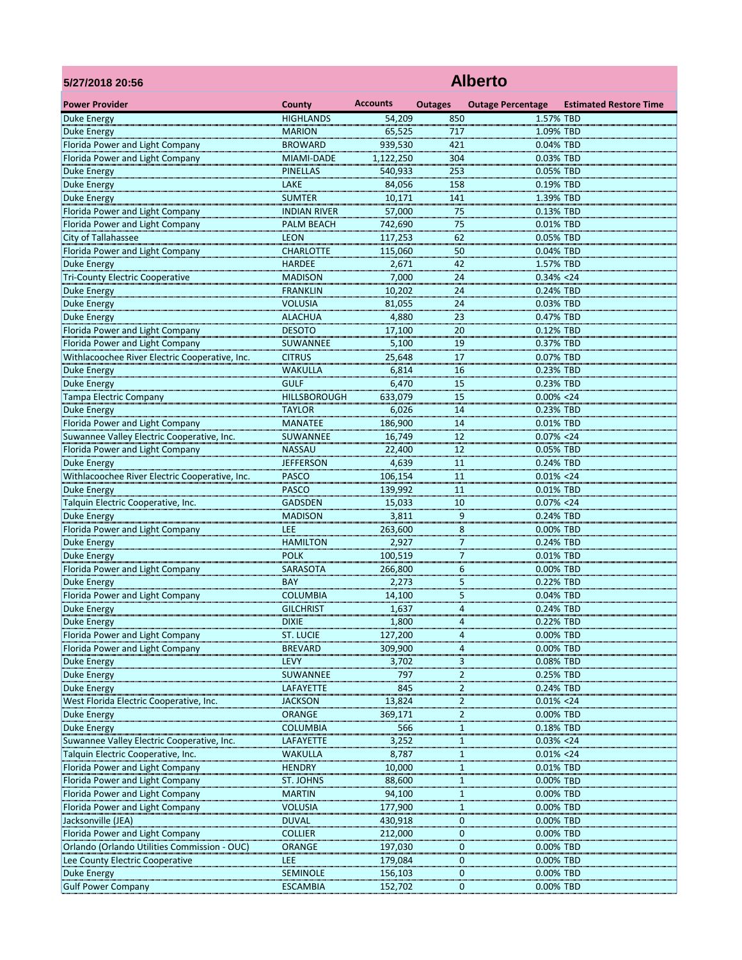| 5/27/2018 20:56                                               | <b>Alberto</b>                   |                    |                |                            |                               |  |  |  |  |
|---------------------------------------------------------------|----------------------------------|--------------------|----------------|----------------------------|-------------------------------|--|--|--|--|
| <b>Power Provider</b>                                         | <b>County</b>                    | <b>Accounts</b>    | <b>Outages</b> | <b>Outage Percentage</b>   | <b>Estimated Restore Time</b> |  |  |  |  |
| <b>Duke Energy</b>                                            | <b>HIGHLANDS</b>                 | 54,209             | 850            | 1.57% TBD                  |                               |  |  |  |  |
| <b>Duke Energy</b>                                            | <b>MARION</b>                    | 65,525             | 717            | 1.09% TBD                  |                               |  |  |  |  |
| Florida Power and Light Company                               | <b>BROWARD</b>                   | 939,530            | 421            | 0.04% TBD                  |                               |  |  |  |  |
| Florida Power and Light Company                               | MIAMI-DADE                       | 1,122,250          | 304            | 0.03% TBD                  |                               |  |  |  |  |
| <b>Duke Energy</b>                                            | <b>PINELLAS</b>                  | 540,933            | 253            | 0.05% TBD                  |                               |  |  |  |  |
| <b>Duke Energy</b>                                            | LAKE                             | 84,056             | 158            | 0.19% TBD                  |                               |  |  |  |  |
| <b>Duke Energy</b>                                            | <b>SUMTER</b>                    | 10,171             | 141            | 1.39% TBD                  |                               |  |  |  |  |
| Florida Power and Light Company                               | <b>INDIAN RIVER</b>              | 57,000             | 75             | 0.13% TBD                  |                               |  |  |  |  |
| Florida Power and Light Company<br>City of Tallahassee        | <b>PALM BEACH</b><br><b>LEON</b> | 742,690            | 75             | 0.01% TBD<br>0.05% TBD     |                               |  |  |  |  |
| Florida Power and Light Company                               | <b>CHARLOTTE</b>                 | 117,253<br>115,060 | 62<br>50       | 0.04% TBD                  |                               |  |  |  |  |
| <b>Duke Energy</b>                                            | <b>HARDEE</b>                    | 2,671              | 42             | 1.57% TBD                  |                               |  |  |  |  |
| <b>Tri-County Electric Cooperative</b>                        | <b>MADISON</b>                   | 7,000              | 24             | $0.34\% < 24$              |                               |  |  |  |  |
| <b>Duke Energy</b>                                            | <b>FRANKLIN</b>                  | 10,202             | 24             | 0.24% TBD                  |                               |  |  |  |  |
| <b>Duke Energy</b>                                            | <b>VOLUSIA</b>                   | 81,055             | 24             | 0.03% TBD                  |                               |  |  |  |  |
| <b>Duke Energy</b>                                            | <b>ALACHUA</b>                   | 4,880              | 23             | 0.47% TBD                  |                               |  |  |  |  |
| Florida Power and Light Company                               | <b>DESOTO</b>                    | 17,100             | 20             | 0.12% TBD                  |                               |  |  |  |  |
| Florida Power and Light Company                               | SUWANNEE                         | 5,100              | 19             | 0.37% TBD                  |                               |  |  |  |  |
| Withlacoochee River Electric Cooperative, Inc.                | <b>CITRUS</b>                    | 25,648             | 17             | 0.07% TBD                  |                               |  |  |  |  |
| <b>Duke Energy</b>                                            | <b>WAKULLA</b>                   | 6,814              | 16             | 0.23% TBD                  |                               |  |  |  |  |
| <b>Duke Energy</b>                                            | <b>GULF</b>                      | 6,470              | 15             | 0.23% TBD                  |                               |  |  |  |  |
| <b>Tampa Electric Company</b>                                 | <b>HILLSBOROUGH</b>              | 633,079            | 15             | $0.00\% < 24$              |                               |  |  |  |  |
| <b>Duke Energy</b>                                            | <b>TAYLOR</b>                    | 6,026              | 14             | 0.23% TBD                  |                               |  |  |  |  |
| Florida Power and Light Company                               | <b>MANATEE</b>                   | 186,900            | 14             | 0.01% TBD                  |                               |  |  |  |  |
| Suwannee Valley Electric Cooperative, Inc.                    | SUWANNEE                         | 16,749             | 12             | $0.07\% < 24$              |                               |  |  |  |  |
| Florida Power and Light Company                               | <b>NASSAU</b>                    | 22,400             | 12             | 0.05% TBD                  |                               |  |  |  |  |
| <b>Duke Energy</b>                                            | <b>JEFFERSON</b><br><b>PASCO</b> | 4,639              | 11             | 0.24% TBD                  |                               |  |  |  |  |
| Withlacoochee River Electric Cooperative, Inc.                | <b>PASCO</b>                     | 106,154<br>139,992 | 11<br>11       | $0.01\% < 24$<br>0.01% TBD |                               |  |  |  |  |
| <b>Duke Energy</b><br>Talquin Electric Cooperative, Inc.      | <b>GADSDEN</b>                   | 15,033             | 10             | $0.07\% < 24$              |                               |  |  |  |  |
| <b>Duke Energy</b>                                            | <b>MADISON</b>                   | 3,811              | 9              | 0.24% TBD                  |                               |  |  |  |  |
| Florida Power and Light Company                               | <b>LEE</b>                       | 263,600            | 8              | 0.00% TBD                  |                               |  |  |  |  |
| <b>Duke Energy</b>                                            | <b>HAMILTON</b>                  | 2,927              | 7              | 0.24% TBD                  |                               |  |  |  |  |
| <b>Duke Energy</b>                                            | <b>POLK</b>                      | 100,519            | 7              | 0.01% TBD                  |                               |  |  |  |  |
| Florida Power and Light Company                               | SARASOTA                         | 266,800            | 6              | 0.00% TBD                  |                               |  |  |  |  |
| <b>Duke Energy</b>                                            | BAY                              | 2,273              | 5              | 0.22% TBD                  |                               |  |  |  |  |
| Florida Power and Light Company                               | <b>COLUMBIA</b>                  | 14,100             | 5              | 0.04% TBD                  |                               |  |  |  |  |
| <b>Duke Energy</b>                                            | <b>GILCHRIST</b>                 | 1,637              | 4              | 0.24% TBD                  |                               |  |  |  |  |
| <b>Duke Energy</b>                                            | <b>DIXIE</b>                     | 1,800              | 4              | 0.22% TBD                  |                               |  |  |  |  |
| Florida Power and Light Company                               | <b>ST. LUCIE</b>                 | 127,200            | 4              | 0.00% TBD                  |                               |  |  |  |  |
| Florida Power and Light Company                               | <b>BREVARD</b>                   | 309,900            | 4              | 0.00% TBD                  |                               |  |  |  |  |
| <b>Duke Energy</b>                                            | <b>LEVY</b>                      | 3,702              | 3              | 0.08% TBD                  |                               |  |  |  |  |
| <b>Duke Energy</b>                                            | SUWANNEE                         | 797                | $\overline{2}$ | 0.25% TBD                  |                               |  |  |  |  |
| <b>Duke Energy</b>                                            | <b>LAFAYETTE</b>                 | 845                | 2              | 0.24% TBD                  |                               |  |  |  |  |
| West Florida Electric Cooperative, Inc.<br><b>Duke Energy</b> | <b>JACKSON</b><br><b>ORANGE</b>  | 13,824<br>369,171  | 2<br>2         | $0.01\% < 24$<br>0.00% TBD |                               |  |  |  |  |
| <b>Duke Energy</b>                                            | <b>COLUMBIA</b>                  | 566                | 1              | 0.18% TBD                  |                               |  |  |  |  |
| Suwannee Valley Electric Cooperative, Inc.                    | LAFAYETTE                        | 3,252              | -1             | $0.03\% < 24$              |                               |  |  |  |  |
| Talquin Electric Cooperative, Inc.                            | <b>WAKULLA</b>                   | 8,787              |                | $0.01\% < 24$              |                               |  |  |  |  |
| Florida Power and Light Company                               | <b>HENDRY</b>                    | 10,000             | 1              | 0.01% TBD                  |                               |  |  |  |  |
| Florida Power and Light Company                               | <b>ST. JOHNS</b>                 | 88,600             | 1              | 0.00% TBD                  |                               |  |  |  |  |
| Florida Power and Light Company                               | <b>MARTIN</b>                    | 94,100             | $\mathbf 1$    | 0.00% TBD                  |                               |  |  |  |  |
| Florida Power and Light Company                               | <b>VOLUSIA</b>                   | 177,900            | 1              | 0.00% TBD                  |                               |  |  |  |  |
| Jacksonville (JEA)                                            | <b>DUVAL</b>                     | 430,918            | 0              | 0.00% TBD                  |                               |  |  |  |  |
| Florida Power and Light Company                               | <b>COLLIER</b>                   | 212,000            | 0              | 0.00% TBD                  |                               |  |  |  |  |
| Orlando (Orlando Utilities Commission - OUC)                  | <b>ORANGE</b>                    | 197,030            | 0              | 0.00% TBD                  |                               |  |  |  |  |
| Lee County Electric Cooperative                               | <b>LEE</b>                       | 179,084            | 0              | 0.00% TBD                  |                               |  |  |  |  |
| <b>Duke Energy</b>                                            | <b>SEMINOLE</b>                  | 156,103            | 0              | 0.00% TBD                  |                               |  |  |  |  |
| <b>Gulf Power Company</b>                                     | <b>ESCAMBIA</b>                  | 152,702            | 0              | 0.00% TBD                  |                               |  |  |  |  |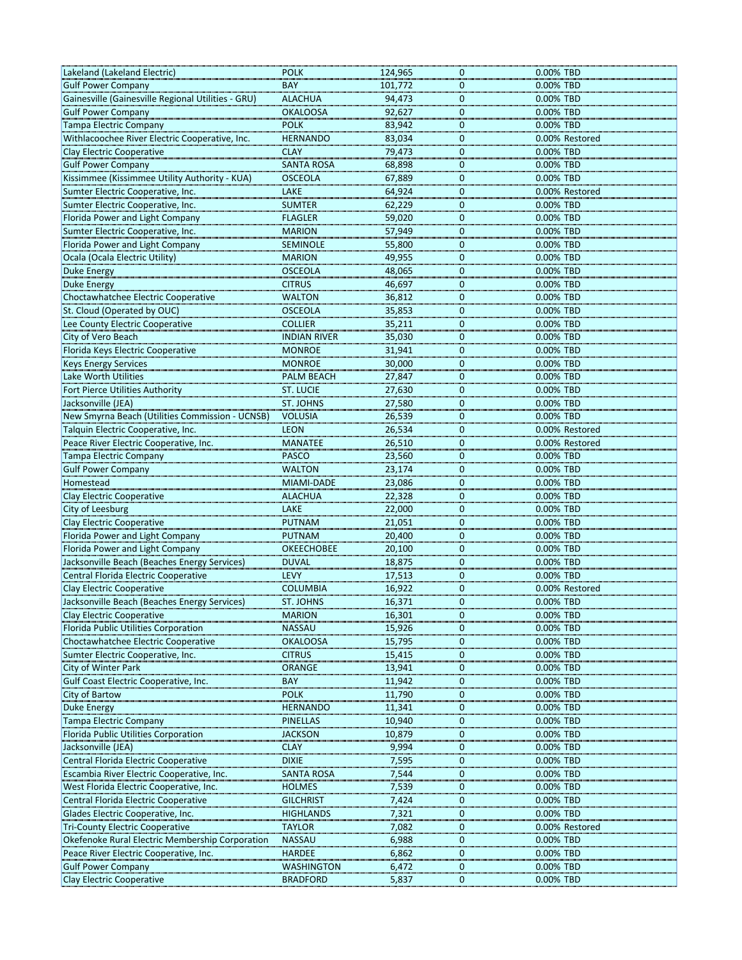| <b>Gulf Power Company</b><br><b>BAY</b><br>0.00% TBD<br>101,772<br>$\mathbf 0$<br>Gainesville (Gainesville Regional Utilities - GRU)<br><b>ALACHUA</b><br>94,473<br>0<br>0.00% TBD<br><b>Gulf Power Company</b><br><b>OKALOOSA</b><br>92,627<br>0<br>0.00% TBD<br><b>Tampa Electric Company</b><br><b>POLK</b><br>0.00% TBD<br>83,942<br>0<br>Withlacoochee River Electric Cooperative, Inc.<br><b>HERNANDO</b><br>83,034<br>0.00% Restored<br>0<br><b>Clay Electric Cooperative</b><br><b>CLAY</b><br>79,473<br>$\mathbf 0$<br>0.00% TBD<br><b>SANTA ROSA</b><br>0.00% TBD<br><b>Gulf Power Company</b><br>68,898<br>0<br>Kissimmee (Kissimmee Utility Authority - KUA)<br><b>OSCEOLA</b><br>67,889<br>0.00% TBD<br>0<br>Sumter Electric Cooperative, Inc.<br>LAKE<br>64,924<br>0.00% Restored<br>$\mathbf 0$<br>Sumter Electric Cooperative, Inc.<br><b>SUMTER</b><br>62,229<br>0.00% TBD<br>0<br>0.00% TBD<br>Florida Power and Light Company<br><b>FLAGLER</b><br>59,020<br>$\Omega$<br>Sumter Electric Cooperative, Inc.<br><b>MARION</b><br>57,949<br>0.00% TBD<br>0<br>Florida Power and Light Company<br>0.00% TBD<br><b>SEMINOLE</b><br>55,800<br>0<br>Ocala (Ocala Electric Utility)<br><b>MARION</b><br>49,955<br>0.00% TBD<br>$\Omega$<br><b>OSCEOLA</b><br><b>Duke Energy</b><br>48,065<br>0.00% TBD<br>0<br><b>Duke Energy</b><br><b>CITRUS</b><br>0.00% TBD<br>46,697<br>0<br>Choctawhatchee Electric Cooperative<br><b>WALTON</b><br>36,812<br>0.00% TBD<br>0<br>St. Cloud (Operated by OUC)<br><b>OSCEOLA</b><br>0.00% TBD<br>35,853<br>0<br>Lee County Electric Cooperative<br><b>COLLIER</b><br>0.00% TBD<br>35,211<br>0<br>City of Vero Beach<br><b>INDIAN RIVER</b><br>35,030<br>0.00% TBD<br>$\mathbf 0$<br><b>MONROE</b><br>0.00% TBD<br>Florida Keys Electric Cooperative<br>31,941<br>$\Omega$<br><b>MONROE</b><br><b>Keys Energy Services</b><br>30,000<br>0.00% TBD<br>0<br>Lake Worth Utilities<br>0.00% TBD<br><b>PALM BEACH</b><br>27,847<br>0<br>Fort Pierce Utilities Authority<br><b>ST. LUCIE</b><br>0<br>0.00% TBD<br>27,630<br>Jacksonville (JEA)<br><b>ST. JOHNS</b><br>0.00% TBD<br>27,580<br>0<br>New Smyrna Beach (Utilities Commission - UCNSB)<br>$\Omega$<br>0.00% TBD<br><b>VOLUSIA</b><br>26,539<br>Talquin Electric Cooperative, Inc.<br><b>LEON</b><br>26,534<br>0.00% Restored<br>0<br><b>MANATEE</b><br>0.00% Restored<br>Peace River Electric Cooperative, Inc.<br>26,510<br>0<br><b>PASCO</b><br>0.00% TBD<br><b>Tampa Electric Company</b><br>23,560<br>0<br>0.00% TBD<br><b>Gulf Power Company</b><br><b>WALTON</b><br>23,174<br>$\Omega$<br>0.00% TBD<br><b>MIAMI-DADE</b><br>23,086<br>0<br>Homestead<br>Clay Electric Cooperative<br><b>ALACHUA</b><br>22,328<br>0.00% TBD<br>0<br>LAKE<br>0.00% TBD<br>City of Leesburg<br>22,000<br>$\Omega$<br><b>Clay Electric Cooperative</b><br><b>PUTNAM</b><br>0.00% TBD<br>21,051<br>0<br>0.00% TBD<br><b>PUTNAM</b><br>20,400<br>Florida Power and Light Company<br>0<br>Florida Power and Light Company<br>20,100<br>0.00% TBD<br><b>OKEECHOBEE</b><br>0<br>Jacksonville Beach (Beaches Energy Services)<br>0.00% TBD<br><b>DUVAL</b><br>18,875<br>$\Omega$<br>Central Florida Electric Cooperative<br><b>LEVY</b><br>0.00% TBD<br>17,513<br>0<br><b>Clay Electric Cooperative</b><br><b>COLUMBIA</b><br>16,922<br>0.00% Restored<br>0<br>0.00% TBD<br>Jacksonville Beach (Beaches Energy Services)<br><b>ST. JOHNS</b><br>16,371<br>$\Omega$<br><b>Clay Electric Cooperative</b><br>0.00% TBD<br><b>MARION</b><br>16,301<br>0<br>Florida Public Utilities Corporation<br>0.00% TBD<br><b>NASSAU</b><br>15,926<br>0<br>Choctawhatchee Electric Cooperative<br><b>OKALOOSA</b><br>15,795<br>0.00% TBD<br>0<br>Sumter Electric Cooperative, Inc.<br><b>CITRUS</b><br>0.00% TBD<br>15,415<br>0<br>City of Winter Park<br><b>ORANGE</b><br>13,941<br>0.00% TBD<br>0<br>Gulf Coast Electric Cooperative, Inc.<br><b>BAY</b><br>11,942<br>0.00% TBD<br>0<br>0.00% TBD<br>City of Bartow<br><b>POLK</b><br>$\Omega$<br>11,790<br><b>Duke Energy</b><br>0.00% TBD<br><b>HERNANDO</b><br>11,341<br>0<br><b>PINELLAS</b><br>0.00% TBD<br><b>Tampa Electric Company</b><br>10,940<br>$\Omega$<br><b>Florida Public Utilities Corporation</b><br>10,879<br><b>JACKSON</b><br>0.00% TBD<br>0<br>Jacksonville (JEA)<br><b>CLAY</b><br>9,994<br>0.00% TBD<br>0<br>Central Florida Electric Cooperative<br><b>DIXIE</b><br>7,595<br>0<br>0.00% TBD<br>Escambia River Electric Cooperative, Inc.<br><b>SANTA ROSA</b><br>7,544<br>0.00% TBD<br>0<br>West Florida Electric Cooperative, Inc.<br>0.00% TBD<br><b>HOLMES</b><br>7,539<br>0<br>Central Florida Electric Cooperative<br><b>GILCHRIST</b><br>0.00% TBD<br>7,424<br>$\mathbf 0$<br>Glades Electric Cooperative, Inc.<br>0.00% TBD<br><b>HIGHLANDS</b><br>7,321<br>0<br><b>Tri-County Electric Cooperative</b><br><b>TAYLOR</b><br>7,082<br>0.00% Restored<br>0<br>Okefenoke Rural Electric Membership Corporation<br>0.00% TBD<br><b>NASSAU</b><br>6,988<br>0<br>Peace River Electric Cooperative, Inc.<br>0.00% TBD<br><b>HARDEE</b><br>6,862<br>0<br><b>Gulf Power Company</b><br>0.00% TBD<br><b>WASHINGTON</b><br>6,472<br>0 | Lakeland (Lakeland Electric)     | <b>POLK</b>     | 124,965   | 0.00% TBD<br>0 |
|-----------------------------------------------------------------------------------------------------------------------------------------------------------------------------------------------------------------------------------------------------------------------------------------------------------------------------------------------------------------------------------------------------------------------------------------------------------------------------------------------------------------------------------------------------------------------------------------------------------------------------------------------------------------------------------------------------------------------------------------------------------------------------------------------------------------------------------------------------------------------------------------------------------------------------------------------------------------------------------------------------------------------------------------------------------------------------------------------------------------------------------------------------------------------------------------------------------------------------------------------------------------------------------------------------------------------------------------------------------------------------------------------------------------------------------------------------------------------------------------------------------------------------------------------------------------------------------------------------------------------------------------------------------------------------------------------------------------------------------------------------------------------------------------------------------------------------------------------------------------------------------------------------------------------------------------------------------------------------------------------------------------------------------------------------------------------------------------------------------------------------------------------------------------------------------------------------------------------------------------------------------------------------------------------------------------------------------------------------------------------------------------------------------------------------------------------------------------------------------------------------------------------------------------------------------------------------------------------------------------------------------------------------------------------------------------------------------------------------------------------------------------------------------------------------------------------------------------------------------------------------------------------------------------------------------------------------------------------------------------------------------------------------------------------------------------------------------------------------------------------------------------------------------------------------------------------------------------------------------------------------------------------------------------------------------------------------------------------------------------------------------------------------------------------------------------------------------------------------------------------------------------------------------------------------------------------------------------------------------------------------------------------------------------------------------------------------------------------------------------------------------------------------------------------------------------------------------------------------------------------------------------------------------------------------------------------------------------------------------------------------------------------------------------------------------------------------------------------------------------------------------------------------------------------------------------------------------------------------------------------------------------------------------------------------------------------------------------------------------------------------------------------------------------------------------------------------------------------------------------------------------------------------------------------------------------------------------------------------------------------------------------------------------------------------------------------------------------------------------------------------------------------------------------------------------------------------------------------------------------------------------------------------------------------------------------------------------------------------------------------------------------------------------------------------------------------------------------------------------------------------------------------------------------------------|----------------------------------|-----------------|-----------|----------------|
|                                                                                                                                                                                                                                                                                                                                                                                                                                                                                                                                                                                                                                                                                                                                                                                                                                                                                                                                                                                                                                                                                                                                                                                                                                                                                                                                                                                                                                                                                                                                                                                                                                                                                                                                                                                                                                                                                                                                                                                                                                                                                                                                                                                                                                                                                                                                                                                                                                                                                                                                                                                                                                                                                                                                                                                                                                                                                                                                                                                                                                                                                                                                                                                                                                                                                                                                                                                                                                                                                                                                                                                                                                                                                                                                                                                                                                                                                                                                                                                                                                                                                                                                                                                                                                                                                                                                                                                                                                                                                                                                                                                                                                                                                                                                                                                                                                                                                                                                                                                                                                                                                                                                                                             |                                  |                 |           |                |
|                                                                                                                                                                                                                                                                                                                                                                                                                                                                                                                                                                                                                                                                                                                                                                                                                                                                                                                                                                                                                                                                                                                                                                                                                                                                                                                                                                                                                                                                                                                                                                                                                                                                                                                                                                                                                                                                                                                                                                                                                                                                                                                                                                                                                                                                                                                                                                                                                                                                                                                                                                                                                                                                                                                                                                                                                                                                                                                                                                                                                                                                                                                                                                                                                                                                                                                                                                                                                                                                                                                                                                                                                                                                                                                                                                                                                                                                                                                                                                                                                                                                                                                                                                                                                                                                                                                                                                                                                                                                                                                                                                                                                                                                                                                                                                                                                                                                                                                                                                                                                                                                                                                                                                             |                                  |                 |           |                |
|                                                                                                                                                                                                                                                                                                                                                                                                                                                                                                                                                                                                                                                                                                                                                                                                                                                                                                                                                                                                                                                                                                                                                                                                                                                                                                                                                                                                                                                                                                                                                                                                                                                                                                                                                                                                                                                                                                                                                                                                                                                                                                                                                                                                                                                                                                                                                                                                                                                                                                                                                                                                                                                                                                                                                                                                                                                                                                                                                                                                                                                                                                                                                                                                                                                                                                                                                                                                                                                                                                                                                                                                                                                                                                                                                                                                                                                                                                                                                                                                                                                                                                                                                                                                                                                                                                                                                                                                                                                                                                                                                                                                                                                                                                                                                                                                                                                                                                                                                                                                                                                                                                                                                                             |                                  |                 |           |                |
|                                                                                                                                                                                                                                                                                                                                                                                                                                                                                                                                                                                                                                                                                                                                                                                                                                                                                                                                                                                                                                                                                                                                                                                                                                                                                                                                                                                                                                                                                                                                                                                                                                                                                                                                                                                                                                                                                                                                                                                                                                                                                                                                                                                                                                                                                                                                                                                                                                                                                                                                                                                                                                                                                                                                                                                                                                                                                                                                                                                                                                                                                                                                                                                                                                                                                                                                                                                                                                                                                                                                                                                                                                                                                                                                                                                                                                                                                                                                                                                                                                                                                                                                                                                                                                                                                                                                                                                                                                                                                                                                                                                                                                                                                                                                                                                                                                                                                                                                                                                                                                                                                                                                                                             |                                  |                 |           |                |
|                                                                                                                                                                                                                                                                                                                                                                                                                                                                                                                                                                                                                                                                                                                                                                                                                                                                                                                                                                                                                                                                                                                                                                                                                                                                                                                                                                                                                                                                                                                                                                                                                                                                                                                                                                                                                                                                                                                                                                                                                                                                                                                                                                                                                                                                                                                                                                                                                                                                                                                                                                                                                                                                                                                                                                                                                                                                                                                                                                                                                                                                                                                                                                                                                                                                                                                                                                                                                                                                                                                                                                                                                                                                                                                                                                                                                                                                                                                                                                                                                                                                                                                                                                                                                                                                                                                                                                                                                                                                                                                                                                                                                                                                                                                                                                                                                                                                                                                                                                                                                                                                                                                                                                             |                                  |                 |           |                |
|                                                                                                                                                                                                                                                                                                                                                                                                                                                                                                                                                                                                                                                                                                                                                                                                                                                                                                                                                                                                                                                                                                                                                                                                                                                                                                                                                                                                                                                                                                                                                                                                                                                                                                                                                                                                                                                                                                                                                                                                                                                                                                                                                                                                                                                                                                                                                                                                                                                                                                                                                                                                                                                                                                                                                                                                                                                                                                                                                                                                                                                                                                                                                                                                                                                                                                                                                                                                                                                                                                                                                                                                                                                                                                                                                                                                                                                                                                                                                                                                                                                                                                                                                                                                                                                                                                                                                                                                                                                                                                                                                                                                                                                                                                                                                                                                                                                                                                                                                                                                                                                                                                                                                                             |                                  |                 |           |                |
|                                                                                                                                                                                                                                                                                                                                                                                                                                                                                                                                                                                                                                                                                                                                                                                                                                                                                                                                                                                                                                                                                                                                                                                                                                                                                                                                                                                                                                                                                                                                                                                                                                                                                                                                                                                                                                                                                                                                                                                                                                                                                                                                                                                                                                                                                                                                                                                                                                                                                                                                                                                                                                                                                                                                                                                                                                                                                                                                                                                                                                                                                                                                                                                                                                                                                                                                                                                                                                                                                                                                                                                                                                                                                                                                                                                                                                                                                                                                                                                                                                                                                                                                                                                                                                                                                                                                                                                                                                                                                                                                                                                                                                                                                                                                                                                                                                                                                                                                                                                                                                                                                                                                                                             |                                  |                 |           |                |
|                                                                                                                                                                                                                                                                                                                                                                                                                                                                                                                                                                                                                                                                                                                                                                                                                                                                                                                                                                                                                                                                                                                                                                                                                                                                                                                                                                                                                                                                                                                                                                                                                                                                                                                                                                                                                                                                                                                                                                                                                                                                                                                                                                                                                                                                                                                                                                                                                                                                                                                                                                                                                                                                                                                                                                                                                                                                                                                                                                                                                                                                                                                                                                                                                                                                                                                                                                                                                                                                                                                                                                                                                                                                                                                                                                                                                                                                                                                                                                                                                                                                                                                                                                                                                                                                                                                                                                                                                                                                                                                                                                                                                                                                                                                                                                                                                                                                                                                                                                                                                                                                                                                                                                             |                                  |                 |           |                |
|                                                                                                                                                                                                                                                                                                                                                                                                                                                                                                                                                                                                                                                                                                                                                                                                                                                                                                                                                                                                                                                                                                                                                                                                                                                                                                                                                                                                                                                                                                                                                                                                                                                                                                                                                                                                                                                                                                                                                                                                                                                                                                                                                                                                                                                                                                                                                                                                                                                                                                                                                                                                                                                                                                                                                                                                                                                                                                                                                                                                                                                                                                                                                                                                                                                                                                                                                                                                                                                                                                                                                                                                                                                                                                                                                                                                                                                                                                                                                                                                                                                                                                                                                                                                                                                                                                                                                                                                                                                                                                                                                                                                                                                                                                                                                                                                                                                                                                                                                                                                                                                                                                                                                                             |                                  |                 |           |                |
|                                                                                                                                                                                                                                                                                                                                                                                                                                                                                                                                                                                                                                                                                                                                                                                                                                                                                                                                                                                                                                                                                                                                                                                                                                                                                                                                                                                                                                                                                                                                                                                                                                                                                                                                                                                                                                                                                                                                                                                                                                                                                                                                                                                                                                                                                                                                                                                                                                                                                                                                                                                                                                                                                                                                                                                                                                                                                                                                                                                                                                                                                                                                                                                                                                                                                                                                                                                                                                                                                                                                                                                                                                                                                                                                                                                                                                                                                                                                                                                                                                                                                                                                                                                                                                                                                                                                                                                                                                                                                                                                                                                                                                                                                                                                                                                                                                                                                                                                                                                                                                                                                                                                                                             |                                  |                 |           |                |
|                                                                                                                                                                                                                                                                                                                                                                                                                                                                                                                                                                                                                                                                                                                                                                                                                                                                                                                                                                                                                                                                                                                                                                                                                                                                                                                                                                                                                                                                                                                                                                                                                                                                                                                                                                                                                                                                                                                                                                                                                                                                                                                                                                                                                                                                                                                                                                                                                                                                                                                                                                                                                                                                                                                                                                                                                                                                                                                                                                                                                                                                                                                                                                                                                                                                                                                                                                                                                                                                                                                                                                                                                                                                                                                                                                                                                                                                                                                                                                                                                                                                                                                                                                                                                                                                                                                                                                                                                                                                                                                                                                                                                                                                                                                                                                                                                                                                                                                                                                                                                                                                                                                                                                             |                                  |                 |           |                |
|                                                                                                                                                                                                                                                                                                                                                                                                                                                                                                                                                                                                                                                                                                                                                                                                                                                                                                                                                                                                                                                                                                                                                                                                                                                                                                                                                                                                                                                                                                                                                                                                                                                                                                                                                                                                                                                                                                                                                                                                                                                                                                                                                                                                                                                                                                                                                                                                                                                                                                                                                                                                                                                                                                                                                                                                                                                                                                                                                                                                                                                                                                                                                                                                                                                                                                                                                                                                                                                                                                                                                                                                                                                                                                                                                                                                                                                                                                                                                                                                                                                                                                                                                                                                                                                                                                                                                                                                                                                                                                                                                                                                                                                                                                                                                                                                                                                                                                                                                                                                                                                                                                                                                                             |                                  |                 |           |                |
|                                                                                                                                                                                                                                                                                                                                                                                                                                                                                                                                                                                                                                                                                                                                                                                                                                                                                                                                                                                                                                                                                                                                                                                                                                                                                                                                                                                                                                                                                                                                                                                                                                                                                                                                                                                                                                                                                                                                                                                                                                                                                                                                                                                                                                                                                                                                                                                                                                                                                                                                                                                                                                                                                                                                                                                                                                                                                                                                                                                                                                                                                                                                                                                                                                                                                                                                                                                                                                                                                                                                                                                                                                                                                                                                                                                                                                                                                                                                                                                                                                                                                                                                                                                                                                                                                                                                                                                                                                                                                                                                                                                                                                                                                                                                                                                                                                                                                                                                                                                                                                                                                                                                                                             |                                  |                 |           |                |
|                                                                                                                                                                                                                                                                                                                                                                                                                                                                                                                                                                                                                                                                                                                                                                                                                                                                                                                                                                                                                                                                                                                                                                                                                                                                                                                                                                                                                                                                                                                                                                                                                                                                                                                                                                                                                                                                                                                                                                                                                                                                                                                                                                                                                                                                                                                                                                                                                                                                                                                                                                                                                                                                                                                                                                                                                                                                                                                                                                                                                                                                                                                                                                                                                                                                                                                                                                                                                                                                                                                                                                                                                                                                                                                                                                                                                                                                                                                                                                                                                                                                                                                                                                                                                                                                                                                                                                                                                                                                                                                                                                                                                                                                                                                                                                                                                                                                                                                                                                                                                                                                                                                                                                             |                                  |                 |           |                |
|                                                                                                                                                                                                                                                                                                                                                                                                                                                                                                                                                                                                                                                                                                                                                                                                                                                                                                                                                                                                                                                                                                                                                                                                                                                                                                                                                                                                                                                                                                                                                                                                                                                                                                                                                                                                                                                                                                                                                                                                                                                                                                                                                                                                                                                                                                                                                                                                                                                                                                                                                                                                                                                                                                                                                                                                                                                                                                                                                                                                                                                                                                                                                                                                                                                                                                                                                                                                                                                                                                                                                                                                                                                                                                                                                                                                                                                                                                                                                                                                                                                                                                                                                                                                                                                                                                                                                                                                                                                                                                                                                                                                                                                                                                                                                                                                                                                                                                                                                                                                                                                                                                                                                                             |                                  |                 |           |                |
|                                                                                                                                                                                                                                                                                                                                                                                                                                                                                                                                                                                                                                                                                                                                                                                                                                                                                                                                                                                                                                                                                                                                                                                                                                                                                                                                                                                                                                                                                                                                                                                                                                                                                                                                                                                                                                                                                                                                                                                                                                                                                                                                                                                                                                                                                                                                                                                                                                                                                                                                                                                                                                                                                                                                                                                                                                                                                                                                                                                                                                                                                                                                                                                                                                                                                                                                                                                                                                                                                                                                                                                                                                                                                                                                                                                                                                                                                                                                                                                                                                                                                                                                                                                                                                                                                                                                                                                                                                                                                                                                                                                                                                                                                                                                                                                                                                                                                                                                                                                                                                                                                                                                                                             |                                  |                 |           |                |
|                                                                                                                                                                                                                                                                                                                                                                                                                                                                                                                                                                                                                                                                                                                                                                                                                                                                                                                                                                                                                                                                                                                                                                                                                                                                                                                                                                                                                                                                                                                                                                                                                                                                                                                                                                                                                                                                                                                                                                                                                                                                                                                                                                                                                                                                                                                                                                                                                                                                                                                                                                                                                                                                                                                                                                                                                                                                                                                                                                                                                                                                                                                                                                                                                                                                                                                                                                                                                                                                                                                                                                                                                                                                                                                                                                                                                                                                                                                                                                                                                                                                                                                                                                                                                                                                                                                                                                                                                                                                                                                                                                                                                                                                                                                                                                                                                                                                                                                                                                                                                                                                                                                                                                             |                                  |                 |           |                |
|                                                                                                                                                                                                                                                                                                                                                                                                                                                                                                                                                                                                                                                                                                                                                                                                                                                                                                                                                                                                                                                                                                                                                                                                                                                                                                                                                                                                                                                                                                                                                                                                                                                                                                                                                                                                                                                                                                                                                                                                                                                                                                                                                                                                                                                                                                                                                                                                                                                                                                                                                                                                                                                                                                                                                                                                                                                                                                                                                                                                                                                                                                                                                                                                                                                                                                                                                                                                                                                                                                                                                                                                                                                                                                                                                                                                                                                                                                                                                                                                                                                                                                                                                                                                                                                                                                                                                                                                                                                                                                                                                                                                                                                                                                                                                                                                                                                                                                                                                                                                                                                                                                                                                                             |                                  |                 |           |                |
|                                                                                                                                                                                                                                                                                                                                                                                                                                                                                                                                                                                                                                                                                                                                                                                                                                                                                                                                                                                                                                                                                                                                                                                                                                                                                                                                                                                                                                                                                                                                                                                                                                                                                                                                                                                                                                                                                                                                                                                                                                                                                                                                                                                                                                                                                                                                                                                                                                                                                                                                                                                                                                                                                                                                                                                                                                                                                                                                                                                                                                                                                                                                                                                                                                                                                                                                                                                                                                                                                                                                                                                                                                                                                                                                                                                                                                                                                                                                                                                                                                                                                                                                                                                                                                                                                                                                                                                                                                                                                                                                                                                                                                                                                                                                                                                                                                                                                                                                                                                                                                                                                                                                                                             |                                  |                 |           |                |
|                                                                                                                                                                                                                                                                                                                                                                                                                                                                                                                                                                                                                                                                                                                                                                                                                                                                                                                                                                                                                                                                                                                                                                                                                                                                                                                                                                                                                                                                                                                                                                                                                                                                                                                                                                                                                                                                                                                                                                                                                                                                                                                                                                                                                                                                                                                                                                                                                                                                                                                                                                                                                                                                                                                                                                                                                                                                                                                                                                                                                                                                                                                                                                                                                                                                                                                                                                                                                                                                                                                                                                                                                                                                                                                                                                                                                                                                                                                                                                                                                                                                                                                                                                                                                                                                                                                                                                                                                                                                                                                                                                                                                                                                                                                                                                                                                                                                                                                                                                                                                                                                                                                                                                             |                                  |                 |           |                |
|                                                                                                                                                                                                                                                                                                                                                                                                                                                                                                                                                                                                                                                                                                                                                                                                                                                                                                                                                                                                                                                                                                                                                                                                                                                                                                                                                                                                                                                                                                                                                                                                                                                                                                                                                                                                                                                                                                                                                                                                                                                                                                                                                                                                                                                                                                                                                                                                                                                                                                                                                                                                                                                                                                                                                                                                                                                                                                                                                                                                                                                                                                                                                                                                                                                                                                                                                                                                                                                                                                                                                                                                                                                                                                                                                                                                                                                                                                                                                                                                                                                                                                                                                                                                                                                                                                                                                                                                                                                                                                                                                                                                                                                                                                                                                                                                                                                                                                                                                                                                                                                                                                                                                                             |                                  |                 |           |                |
|                                                                                                                                                                                                                                                                                                                                                                                                                                                                                                                                                                                                                                                                                                                                                                                                                                                                                                                                                                                                                                                                                                                                                                                                                                                                                                                                                                                                                                                                                                                                                                                                                                                                                                                                                                                                                                                                                                                                                                                                                                                                                                                                                                                                                                                                                                                                                                                                                                                                                                                                                                                                                                                                                                                                                                                                                                                                                                                                                                                                                                                                                                                                                                                                                                                                                                                                                                                                                                                                                                                                                                                                                                                                                                                                                                                                                                                                                                                                                                                                                                                                                                                                                                                                                                                                                                                                                                                                                                                                                                                                                                                                                                                                                                                                                                                                                                                                                                                                                                                                                                                                                                                                                                             |                                  |                 |           |                |
|                                                                                                                                                                                                                                                                                                                                                                                                                                                                                                                                                                                                                                                                                                                                                                                                                                                                                                                                                                                                                                                                                                                                                                                                                                                                                                                                                                                                                                                                                                                                                                                                                                                                                                                                                                                                                                                                                                                                                                                                                                                                                                                                                                                                                                                                                                                                                                                                                                                                                                                                                                                                                                                                                                                                                                                                                                                                                                                                                                                                                                                                                                                                                                                                                                                                                                                                                                                                                                                                                                                                                                                                                                                                                                                                                                                                                                                                                                                                                                                                                                                                                                                                                                                                                                                                                                                                                                                                                                                                                                                                                                                                                                                                                                                                                                                                                                                                                                                                                                                                                                                                                                                                                                             |                                  |                 |           |                |
|                                                                                                                                                                                                                                                                                                                                                                                                                                                                                                                                                                                                                                                                                                                                                                                                                                                                                                                                                                                                                                                                                                                                                                                                                                                                                                                                                                                                                                                                                                                                                                                                                                                                                                                                                                                                                                                                                                                                                                                                                                                                                                                                                                                                                                                                                                                                                                                                                                                                                                                                                                                                                                                                                                                                                                                                                                                                                                                                                                                                                                                                                                                                                                                                                                                                                                                                                                                                                                                                                                                                                                                                                                                                                                                                                                                                                                                                                                                                                                                                                                                                                                                                                                                                                                                                                                                                                                                                                                                                                                                                                                                                                                                                                                                                                                                                                                                                                                                                                                                                                                                                                                                                                                             |                                  |                 |           |                |
|                                                                                                                                                                                                                                                                                                                                                                                                                                                                                                                                                                                                                                                                                                                                                                                                                                                                                                                                                                                                                                                                                                                                                                                                                                                                                                                                                                                                                                                                                                                                                                                                                                                                                                                                                                                                                                                                                                                                                                                                                                                                                                                                                                                                                                                                                                                                                                                                                                                                                                                                                                                                                                                                                                                                                                                                                                                                                                                                                                                                                                                                                                                                                                                                                                                                                                                                                                                                                                                                                                                                                                                                                                                                                                                                                                                                                                                                                                                                                                                                                                                                                                                                                                                                                                                                                                                                                                                                                                                                                                                                                                                                                                                                                                                                                                                                                                                                                                                                                                                                                                                                                                                                                                             |                                  |                 |           |                |
|                                                                                                                                                                                                                                                                                                                                                                                                                                                                                                                                                                                                                                                                                                                                                                                                                                                                                                                                                                                                                                                                                                                                                                                                                                                                                                                                                                                                                                                                                                                                                                                                                                                                                                                                                                                                                                                                                                                                                                                                                                                                                                                                                                                                                                                                                                                                                                                                                                                                                                                                                                                                                                                                                                                                                                                                                                                                                                                                                                                                                                                                                                                                                                                                                                                                                                                                                                                                                                                                                                                                                                                                                                                                                                                                                                                                                                                                                                                                                                                                                                                                                                                                                                                                                                                                                                                                                                                                                                                                                                                                                                                                                                                                                                                                                                                                                                                                                                                                                                                                                                                                                                                                                                             |                                  |                 |           |                |
|                                                                                                                                                                                                                                                                                                                                                                                                                                                                                                                                                                                                                                                                                                                                                                                                                                                                                                                                                                                                                                                                                                                                                                                                                                                                                                                                                                                                                                                                                                                                                                                                                                                                                                                                                                                                                                                                                                                                                                                                                                                                                                                                                                                                                                                                                                                                                                                                                                                                                                                                                                                                                                                                                                                                                                                                                                                                                                                                                                                                                                                                                                                                                                                                                                                                                                                                                                                                                                                                                                                                                                                                                                                                                                                                                                                                                                                                                                                                                                                                                                                                                                                                                                                                                                                                                                                                                                                                                                                                                                                                                                                                                                                                                                                                                                                                                                                                                                                                                                                                                                                                                                                                                                             |                                  |                 |           |                |
|                                                                                                                                                                                                                                                                                                                                                                                                                                                                                                                                                                                                                                                                                                                                                                                                                                                                                                                                                                                                                                                                                                                                                                                                                                                                                                                                                                                                                                                                                                                                                                                                                                                                                                                                                                                                                                                                                                                                                                                                                                                                                                                                                                                                                                                                                                                                                                                                                                                                                                                                                                                                                                                                                                                                                                                                                                                                                                                                                                                                                                                                                                                                                                                                                                                                                                                                                                                                                                                                                                                                                                                                                                                                                                                                                                                                                                                                                                                                                                                                                                                                                                                                                                                                                                                                                                                                                                                                                                                                                                                                                                                                                                                                                                                                                                                                                                                                                                                                                                                                                                                                                                                                                                             |                                  |                 |           |                |
|                                                                                                                                                                                                                                                                                                                                                                                                                                                                                                                                                                                                                                                                                                                                                                                                                                                                                                                                                                                                                                                                                                                                                                                                                                                                                                                                                                                                                                                                                                                                                                                                                                                                                                                                                                                                                                                                                                                                                                                                                                                                                                                                                                                                                                                                                                                                                                                                                                                                                                                                                                                                                                                                                                                                                                                                                                                                                                                                                                                                                                                                                                                                                                                                                                                                                                                                                                                                                                                                                                                                                                                                                                                                                                                                                                                                                                                                                                                                                                                                                                                                                                                                                                                                                                                                                                                                                                                                                                                                                                                                                                                                                                                                                                                                                                                                                                                                                                                                                                                                                                                                                                                                                                             |                                  |                 |           |                |
|                                                                                                                                                                                                                                                                                                                                                                                                                                                                                                                                                                                                                                                                                                                                                                                                                                                                                                                                                                                                                                                                                                                                                                                                                                                                                                                                                                                                                                                                                                                                                                                                                                                                                                                                                                                                                                                                                                                                                                                                                                                                                                                                                                                                                                                                                                                                                                                                                                                                                                                                                                                                                                                                                                                                                                                                                                                                                                                                                                                                                                                                                                                                                                                                                                                                                                                                                                                                                                                                                                                                                                                                                                                                                                                                                                                                                                                                                                                                                                                                                                                                                                                                                                                                                                                                                                                                                                                                                                                                                                                                                                                                                                                                                                                                                                                                                                                                                                                                                                                                                                                                                                                                                                             |                                  |                 |           |                |
|                                                                                                                                                                                                                                                                                                                                                                                                                                                                                                                                                                                                                                                                                                                                                                                                                                                                                                                                                                                                                                                                                                                                                                                                                                                                                                                                                                                                                                                                                                                                                                                                                                                                                                                                                                                                                                                                                                                                                                                                                                                                                                                                                                                                                                                                                                                                                                                                                                                                                                                                                                                                                                                                                                                                                                                                                                                                                                                                                                                                                                                                                                                                                                                                                                                                                                                                                                                                                                                                                                                                                                                                                                                                                                                                                                                                                                                                                                                                                                                                                                                                                                                                                                                                                                                                                                                                                                                                                                                                                                                                                                                                                                                                                                                                                                                                                                                                                                                                                                                                                                                                                                                                                                             |                                  |                 |           |                |
|                                                                                                                                                                                                                                                                                                                                                                                                                                                                                                                                                                                                                                                                                                                                                                                                                                                                                                                                                                                                                                                                                                                                                                                                                                                                                                                                                                                                                                                                                                                                                                                                                                                                                                                                                                                                                                                                                                                                                                                                                                                                                                                                                                                                                                                                                                                                                                                                                                                                                                                                                                                                                                                                                                                                                                                                                                                                                                                                                                                                                                                                                                                                                                                                                                                                                                                                                                                                                                                                                                                                                                                                                                                                                                                                                                                                                                                                                                                                                                                                                                                                                                                                                                                                                                                                                                                                                                                                                                                                                                                                                                                                                                                                                                                                                                                                                                                                                                                                                                                                                                                                                                                                                                             |                                  |                 |           |                |
|                                                                                                                                                                                                                                                                                                                                                                                                                                                                                                                                                                                                                                                                                                                                                                                                                                                                                                                                                                                                                                                                                                                                                                                                                                                                                                                                                                                                                                                                                                                                                                                                                                                                                                                                                                                                                                                                                                                                                                                                                                                                                                                                                                                                                                                                                                                                                                                                                                                                                                                                                                                                                                                                                                                                                                                                                                                                                                                                                                                                                                                                                                                                                                                                                                                                                                                                                                                                                                                                                                                                                                                                                                                                                                                                                                                                                                                                                                                                                                                                                                                                                                                                                                                                                                                                                                                                                                                                                                                                                                                                                                                                                                                                                                                                                                                                                                                                                                                                                                                                                                                                                                                                                                             |                                  |                 |           |                |
|                                                                                                                                                                                                                                                                                                                                                                                                                                                                                                                                                                                                                                                                                                                                                                                                                                                                                                                                                                                                                                                                                                                                                                                                                                                                                                                                                                                                                                                                                                                                                                                                                                                                                                                                                                                                                                                                                                                                                                                                                                                                                                                                                                                                                                                                                                                                                                                                                                                                                                                                                                                                                                                                                                                                                                                                                                                                                                                                                                                                                                                                                                                                                                                                                                                                                                                                                                                                                                                                                                                                                                                                                                                                                                                                                                                                                                                                                                                                                                                                                                                                                                                                                                                                                                                                                                                                                                                                                                                                                                                                                                                                                                                                                                                                                                                                                                                                                                                                                                                                                                                                                                                                                                             |                                  |                 |           |                |
|                                                                                                                                                                                                                                                                                                                                                                                                                                                                                                                                                                                                                                                                                                                                                                                                                                                                                                                                                                                                                                                                                                                                                                                                                                                                                                                                                                                                                                                                                                                                                                                                                                                                                                                                                                                                                                                                                                                                                                                                                                                                                                                                                                                                                                                                                                                                                                                                                                                                                                                                                                                                                                                                                                                                                                                                                                                                                                                                                                                                                                                                                                                                                                                                                                                                                                                                                                                                                                                                                                                                                                                                                                                                                                                                                                                                                                                                                                                                                                                                                                                                                                                                                                                                                                                                                                                                                                                                                                                                                                                                                                                                                                                                                                                                                                                                                                                                                                                                                                                                                                                                                                                                                                             |                                  |                 |           |                |
|                                                                                                                                                                                                                                                                                                                                                                                                                                                                                                                                                                                                                                                                                                                                                                                                                                                                                                                                                                                                                                                                                                                                                                                                                                                                                                                                                                                                                                                                                                                                                                                                                                                                                                                                                                                                                                                                                                                                                                                                                                                                                                                                                                                                                                                                                                                                                                                                                                                                                                                                                                                                                                                                                                                                                                                                                                                                                                                                                                                                                                                                                                                                                                                                                                                                                                                                                                                                                                                                                                                                                                                                                                                                                                                                                                                                                                                                                                                                                                                                                                                                                                                                                                                                                                                                                                                                                                                                                                                                                                                                                                                                                                                                                                                                                                                                                                                                                                                                                                                                                                                                                                                                                                             |                                  |                 |           |                |
|                                                                                                                                                                                                                                                                                                                                                                                                                                                                                                                                                                                                                                                                                                                                                                                                                                                                                                                                                                                                                                                                                                                                                                                                                                                                                                                                                                                                                                                                                                                                                                                                                                                                                                                                                                                                                                                                                                                                                                                                                                                                                                                                                                                                                                                                                                                                                                                                                                                                                                                                                                                                                                                                                                                                                                                                                                                                                                                                                                                                                                                                                                                                                                                                                                                                                                                                                                                                                                                                                                                                                                                                                                                                                                                                                                                                                                                                                                                                                                                                                                                                                                                                                                                                                                                                                                                                                                                                                                                                                                                                                                                                                                                                                                                                                                                                                                                                                                                                                                                                                                                                                                                                                                             |                                  |                 |           |                |
|                                                                                                                                                                                                                                                                                                                                                                                                                                                                                                                                                                                                                                                                                                                                                                                                                                                                                                                                                                                                                                                                                                                                                                                                                                                                                                                                                                                                                                                                                                                                                                                                                                                                                                                                                                                                                                                                                                                                                                                                                                                                                                                                                                                                                                                                                                                                                                                                                                                                                                                                                                                                                                                                                                                                                                                                                                                                                                                                                                                                                                                                                                                                                                                                                                                                                                                                                                                                                                                                                                                                                                                                                                                                                                                                                                                                                                                                                                                                                                                                                                                                                                                                                                                                                                                                                                                                                                                                                                                                                                                                                                                                                                                                                                                                                                                                                                                                                                                                                                                                                                                                                                                                                                             |                                  |                 |           |                |
|                                                                                                                                                                                                                                                                                                                                                                                                                                                                                                                                                                                                                                                                                                                                                                                                                                                                                                                                                                                                                                                                                                                                                                                                                                                                                                                                                                                                                                                                                                                                                                                                                                                                                                                                                                                                                                                                                                                                                                                                                                                                                                                                                                                                                                                                                                                                                                                                                                                                                                                                                                                                                                                                                                                                                                                                                                                                                                                                                                                                                                                                                                                                                                                                                                                                                                                                                                                                                                                                                                                                                                                                                                                                                                                                                                                                                                                                                                                                                                                                                                                                                                                                                                                                                                                                                                                                                                                                                                                                                                                                                                                                                                                                                                                                                                                                                                                                                                                                                                                                                                                                                                                                                                             |                                  |                 |           |                |
|                                                                                                                                                                                                                                                                                                                                                                                                                                                                                                                                                                                                                                                                                                                                                                                                                                                                                                                                                                                                                                                                                                                                                                                                                                                                                                                                                                                                                                                                                                                                                                                                                                                                                                                                                                                                                                                                                                                                                                                                                                                                                                                                                                                                                                                                                                                                                                                                                                                                                                                                                                                                                                                                                                                                                                                                                                                                                                                                                                                                                                                                                                                                                                                                                                                                                                                                                                                                                                                                                                                                                                                                                                                                                                                                                                                                                                                                                                                                                                                                                                                                                                                                                                                                                                                                                                                                                                                                                                                                                                                                                                                                                                                                                                                                                                                                                                                                                                                                                                                                                                                                                                                                                                             |                                  |                 |           |                |
|                                                                                                                                                                                                                                                                                                                                                                                                                                                                                                                                                                                                                                                                                                                                                                                                                                                                                                                                                                                                                                                                                                                                                                                                                                                                                                                                                                                                                                                                                                                                                                                                                                                                                                                                                                                                                                                                                                                                                                                                                                                                                                                                                                                                                                                                                                                                                                                                                                                                                                                                                                                                                                                                                                                                                                                                                                                                                                                                                                                                                                                                                                                                                                                                                                                                                                                                                                                                                                                                                                                                                                                                                                                                                                                                                                                                                                                                                                                                                                                                                                                                                                                                                                                                                                                                                                                                                                                                                                                                                                                                                                                                                                                                                                                                                                                                                                                                                                                                                                                                                                                                                                                                                                             |                                  |                 |           |                |
|                                                                                                                                                                                                                                                                                                                                                                                                                                                                                                                                                                                                                                                                                                                                                                                                                                                                                                                                                                                                                                                                                                                                                                                                                                                                                                                                                                                                                                                                                                                                                                                                                                                                                                                                                                                                                                                                                                                                                                                                                                                                                                                                                                                                                                                                                                                                                                                                                                                                                                                                                                                                                                                                                                                                                                                                                                                                                                                                                                                                                                                                                                                                                                                                                                                                                                                                                                                                                                                                                                                                                                                                                                                                                                                                                                                                                                                                                                                                                                                                                                                                                                                                                                                                                                                                                                                                                                                                                                                                                                                                                                                                                                                                                                                                                                                                                                                                                                                                                                                                                                                                                                                                                                             |                                  |                 |           |                |
|                                                                                                                                                                                                                                                                                                                                                                                                                                                                                                                                                                                                                                                                                                                                                                                                                                                                                                                                                                                                                                                                                                                                                                                                                                                                                                                                                                                                                                                                                                                                                                                                                                                                                                                                                                                                                                                                                                                                                                                                                                                                                                                                                                                                                                                                                                                                                                                                                                                                                                                                                                                                                                                                                                                                                                                                                                                                                                                                                                                                                                                                                                                                                                                                                                                                                                                                                                                                                                                                                                                                                                                                                                                                                                                                                                                                                                                                                                                                                                                                                                                                                                                                                                                                                                                                                                                                                                                                                                                                                                                                                                                                                                                                                                                                                                                                                                                                                                                                                                                                                                                                                                                                                                             |                                  |                 |           |                |
|                                                                                                                                                                                                                                                                                                                                                                                                                                                                                                                                                                                                                                                                                                                                                                                                                                                                                                                                                                                                                                                                                                                                                                                                                                                                                                                                                                                                                                                                                                                                                                                                                                                                                                                                                                                                                                                                                                                                                                                                                                                                                                                                                                                                                                                                                                                                                                                                                                                                                                                                                                                                                                                                                                                                                                                                                                                                                                                                                                                                                                                                                                                                                                                                                                                                                                                                                                                                                                                                                                                                                                                                                                                                                                                                                                                                                                                                                                                                                                                                                                                                                                                                                                                                                                                                                                                                                                                                                                                                                                                                                                                                                                                                                                                                                                                                                                                                                                                                                                                                                                                                                                                                                                             |                                  |                 |           |                |
|                                                                                                                                                                                                                                                                                                                                                                                                                                                                                                                                                                                                                                                                                                                                                                                                                                                                                                                                                                                                                                                                                                                                                                                                                                                                                                                                                                                                                                                                                                                                                                                                                                                                                                                                                                                                                                                                                                                                                                                                                                                                                                                                                                                                                                                                                                                                                                                                                                                                                                                                                                                                                                                                                                                                                                                                                                                                                                                                                                                                                                                                                                                                                                                                                                                                                                                                                                                                                                                                                                                                                                                                                                                                                                                                                                                                                                                                                                                                                                                                                                                                                                                                                                                                                                                                                                                                                                                                                                                                                                                                                                                                                                                                                                                                                                                                                                                                                                                                                                                                                                                                                                                                                                             |                                  |                 |           |                |
|                                                                                                                                                                                                                                                                                                                                                                                                                                                                                                                                                                                                                                                                                                                                                                                                                                                                                                                                                                                                                                                                                                                                                                                                                                                                                                                                                                                                                                                                                                                                                                                                                                                                                                                                                                                                                                                                                                                                                                                                                                                                                                                                                                                                                                                                                                                                                                                                                                                                                                                                                                                                                                                                                                                                                                                                                                                                                                                                                                                                                                                                                                                                                                                                                                                                                                                                                                                                                                                                                                                                                                                                                                                                                                                                                                                                                                                                                                                                                                                                                                                                                                                                                                                                                                                                                                                                                                                                                                                                                                                                                                                                                                                                                                                                                                                                                                                                                                                                                                                                                                                                                                                                                                             |                                  |                 |           |                |
|                                                                                                                                                                                                                                                                                                                                                                                                                                                                                                                                                                                                                                                                                                                                                                                                                                                                                                                                                                                                                                                                                                                                                                                                                                                                                                                                                                                                                                                                                                                                                                                                                                                                                                                                                                                                                                                                                                                                                                                                                                                                                                                                                                                                                                                                                                                                                                                                                                                                                                                                                                                                                                                                                                                                                                                                                                                                                                                                                                                                                                                                                                                                                                                                                                                                                                                                                                                                                                                                                                                                                                                                                                                                                                                                                                                                                                                                                                                                                                                                                                                                                                                                                                                                                                                                                                                                                                                                                                                                                                                                                                                                                                                                                                                                                                                                                                                                                                                                                                                                                                                                                                                                                                             |                                  |                 |           |                |
|                                                                                                                                                                                                                                                                                                                                                                                                                                                                                                                                                                                                                                                                                                                                                                                                                                                                                                                                                                                                                                                                                                                                                                                                                                                                                                                                                                                                                                                                                                                                                                                                                                                                                                                                                                                                                                                                                                                                                                                                                                                                                                                                                                                                                                                                                                                                                                                                                                                                                                                                                                                                                                                                                                                                                                                                                                                                                                                                                                                                                                                                                                                                                                                                                                                                                                                                                                                                                                                                                                                                                                                                                                                                                                                                                                                                                                                                                                                                                                                                                                                                                                                                                                                                                                                                                                                                                                                                                                                                                                                                                                                                                                                                                                                                                                                                                                                                                                                                                                                                                                                                                                                                                                             |                                  |                 |           |                |
|                                                                                                                                                                                                                                                                                                                                                                                                                                                                                                                                                                                                                                                                                                                                                                                                                                                                                                                                                                                                                                                                                                                                                                                                                                                                                                                                                                                                                                                                                                                                                                                                                                                                                                                                                                                                                                                                                                                                                                                                                                                                                                                                                                                                                                                                                                                                                                                                                                                                                                                                                                                                                                                                                                                                                                                                                                                                                                                                                                                                                                                                                                                                                                                                                                                                                                                                                                                                                                                                                                                                                                                                                                                                                                                                                                                                                                                                                                                                                                                                                                                                                                                                                                                                                                                                                                                                                                                                                                                                                                                                                                                                                                                                                                                                                                                                                                                                                                                                                                                                                                                                                                                                                                             |                                  |                 |           |                |
|                                                                                                                                                                                                                                                                                                                                                                                                                                                                                                                                                                                                                                                                                                                                                                                                                                                                                                                                                                                                                                                                                                                                                                                                                                                                                                                                                                                                                                                                                                                                                                                                                                                                                                                                                                                                                                                                                                                                                                                                                                                                                                                                                                                                                                                                                                                                                                                                                                                                                                                                                                                                                                                                                                                                                                                                                                                                                                                                                                                                                                                                                                                                                                                                                                                                                                                                                                                                                                                                                                                                                                                                                                                                                                                                                                                                                                                                                                                                                                                                                                                                                                                                                                                                                                                                                                                                                                                                                                                                                                                                                                                                                                                                                                                                                                                                                                                                                                                                                                                                                                                                                                                                                                             |                                  |                 |           |                |
|                                                                                                                                                                                                                                                                                                                                                                                                                                                                                                                                                                                                                                                                                                                                                                                                                                                                                                                                                                                                                                                                                                                                                                                                                                                                                                                                                                                                                                                                                                                                                                                                                                                                                                                                                                                                                                                                                                                                                                                                                                                                                                                                                                                                                                                                                                                                                                                                                                                                                                                                                                                                                                                                                                                                                                                                                                                                                                                                                                                                                                                                                                                                                                                                                                                                                                                                                                                                                                                                                                                                                                                                                                                                                                                                                                                                                                                                                                                                                                                                                                                                                                                                                                                                                                                                                                                                                                                                                                                                                                                                                                                                                                                                                                                                                                                                                                                                                                                                                                                                                                                                                                                                                                             |                                  |                 |           |                |
|                                                                                                                                                                                                                                                                                                                                                                                                                                                                                                                                                                                                                                                                                                                                                                                                                                                                                                                                                                                                                                                                                                                                                                                                                                                                                                                                                                                                                                                                                                                                                                                                                                                                                                                                                                                                                                                                                                                                                                                                                                                                                                                                                                                                                                                                                                                                                                                                                                                                                                                                                                                                                                                                                                                                                                                                                                                                                                                                                                                                                                                                                                                                                                                                                                                                                                                                                                                                                                                                                                                                                                                                                                                                                                                                                                                                                                                                                                                                                                                                                                                                                                                                                                                                                                                                                                                                                                                                                                                                                                                                                                                                                                                                                                                                                                                                                                                                                                                                                                                                                                                                                                                                                                             |                                  |                 |           |                |
|                                                                                                                                                                                                                                                                                                                                                                                                                                                                                                                                                                                                                                                                                                                                                                                                                                                                                                                                                                                                                                                                                                                                                                                                                                                                                                                                                                                                                                                                                                                                                                                                                                                                                                                                                                                                                                                                                                                                                                                                                                                                                                                                                                                                                                                                                                                                                                                                                                                                                                                                                                                                                                                                                                                                                                                                                                                                                                                                                                                                                                                                                                                                                                                                                                                                                                                                                                                                                                                                                                                                                                                                                                                                                                                                                                                                                                                                                                                                                                                                                                                                                                                                                                                                                                                                                                                                                                                                                                                                                                                                                                                                                                                                                                                                                                                                                                                                                                                                                                                                                                                                                                                                                                             |                                  |                 |           |                |
|                                                                                                                                                                                                                                                                                                                                                                                                                                                                                                                                                                                                                                                                                                                                                                                                                                                                                                                                                                                                                                                                                                                                                                                                                                                                                                                                                                                                                                                                                                                                                                                                                                                                                                                                                                                                                                                                                                                                                                                                                                                                                                                                                                                                                                                                                                                                                                                                                                                                                                                                                                                                                                                                                                                                                                                                                                                                                                                                                                                                                                                                                                                                                                                                                                                                                                                                                                                                                                                                                                                                                                                                                                                                                                                                                                                                                                                                                                                                                                                                                                                                                                                                                                                                                                                                                                                                                                                                                                                                                                                                                                                                                                                                                                                                                                                                                                                                                                                                                                                                                                                                                                                                                                             |                                  |                 |           |                |
|                                                                                                                                                                                                                                                                                                                                                                                                                                                                                                                                                                                                                                                                                                                                                                                                                                                                                                                                                                                                                                                                                                                                                                                                                                                                                                                                                                                                                                                                                                                                                                                                                                                                                                                                                                                                                                                                                                                                                                                                                                                                                                                                                                                                                                                                                                                                                                                                                                                                                                                                                                                                                                                                                                                                                                                                                                                                                                                                                                                                                                                                                                                                                                                                                                                                                                                                                                                                                                                                                                                                                                                                                                                                                                                                                                                                                                                                                                                                                                                                                                                                                                                                                                                                                                                                                                                                                                                                                                                                                                                                                                                                                                                                                                                                                                                                                                                                                                                                                                                                                                                                                                                                                                             |                                  |                 |           |                |
|                                                                                                                                                                                                                                                                                                                                                                                                                                                                                                                                                                                                                                                                                                                                                                                                                                                                                                                                                                                                                                                                                                                                                                                                                                                                                                                                                                                                                                                                                                                                                                                                                                                                                                                                                                                                                                                                                                                                                                                                                                                                                                                                                                                                                                                                                                                                                                                                                                                                                                                                                                                                                                                                                                                                                                                                                                                                                                                                                                                                                                                                                                                                                                                                                                                                                                                                                                                                                                                                                                                                                                                                                                                                                                                                                                                                                                                                                                                                                                                                                                                                                                                                                                                                                                                                                                                                                                                                                                                                                                                                                                                                                                                                                                                                                                                                                                                                                                                                                                                                                                                                                                                                                                             |                                  |                 |           |                |
|                                                                                                                                                                                                                                                                                                                                                                                                                                                                                                                                                                                                                                                                                                                                                                                                                                                                                                                                                                                                                                                                                                                                                                                                                                                                                                                                                                                                                                                                                                                                                                                                                                                                                                                                                                                                                                                                                                                                                                                                                                                                                                                                                                                                                                                                                                                                                                                                                                                                                                                                                                                                                                                                                                                                                                                                                                                                                                                                                                                                                                                                                                                                                                                                                                                                                                                                                                                                                                                                                                                                                                                                                                                                                                                                                                                                                                                                                                                                                                                                                                                                                                                                                                                                                                                                                                                                                                                                                                                                                                                                                                                                                                                                                                                                                                                                                                                                                                                                                                                                                                                                                                                                                                             |                                  |                 |           |                |
|                                                                                                                                                                                                                                                                                                                                                                                                                                                                                                                                                                                                                                                                                                                                                                                                                                                                                                                                                                                                                                                                                                                                                                                                                                                                                                                                                                                                                                                                                                                                                                                                                                                                                                                                                                                                                                                                                                                                                                                                                                                                                                                                                                                                                                                                                                                                                                                                                                                                                                                                                                                                                                                                                                                                                                                                                                                                                                                                                                                                                                                                                                                                                                                                                                                                                                                                                                                                                                                                                                                                                                                                                                                                                                                                                                                                                                                                                                                                                                                                                                                                                                                                                                                                                                                                                                                                                                                                                                                                                                                                                                                                                                                                                                                                                                                                                                                                                                                                                                                                                                                                                                                                                                             |                                  |                 |           |                |
|                                                                                                                                                                                                                                                                                                                                                                                                                                                                                                                                                                                                                                                                                                                                                                                                                                                                                                                                                                                                                                                                                                                                                                                                                                                                                                                                                                                                                                                                                                                                                                                                                                                                                                                                                                                                                                                                                                                                                                                                                                                                                                                                                                                                                                                                                                                                                                                                                                                                                                                                                                                                                                                                                                                                                                                                                                                                                                                                                                                                                                                                                                                                                                                                                                                                                                                                                                                                                                                                                                                                                                                                                                                                                                                                                                                                                                                                                                                                                                                                                                                                                                                                                                                                                                                                                                                                                                                                                                                                                                                                                                                                                                                                                                                                                                                                                                                                                                                                                                                                                                                                                                                                                                             |                                  |                 |           |                |
|                                                                                                                                                                                                                                                                                                                                                                                                                                                                                                                                                                                                                                                                                                                                                                                                                                                                                                                                                                                                                                                                                                                                                                                                                                                                                                                                                                                                                                                                                                                                                                                                                                                                                                                                                                                                                                                                                                                                                                                                                                                                                                                                                                                                                                                                                                                                                                                                                                                                                                                                                                                                                                                                                                                                                                                                                                                                                                                                                                                                                                                                                                                                                                                                                                                                                                                                                                                                                                                                                                                                                                                                                                                                                                                                                                                                                                                                                                                                                                                                                                                                                                                                                                                                                                                                                                                                                                                                                                                                                                                                                                                                                                                                                                                                                                                                                                                                                                                                                                                                                                                                                                                                                                             |                                  |                 |           |                |
|                                                                                                                                                                                                                                                                                                                                                                                                                                                                                                                                                                                                                                                                                                                                                                                                                                                                                                                                                                                                                                                                                                                                                                                                                                                                                                                                                                                                                                                                                                                                                                                                                                                                                                                                                                                                                                                                                                                                                                                                                                                                                                                                                                                                                                                                                                                                                                                                                                                                                                                                                                                                                                                                                                                                                                                                                                                                                                                                                                                                                                                                                                                                                                                                                                                                                                                                                                                                                                                                                                                                                                                                                                                                                                                                                                                                                                                                                                                                                                                                                                                                                                                                                                                                                                                                                                                                                                                                                                                                                                                                                                                                                                                                                                                                                                                                                                                                                                                                                                                                                                                                                                                                                                             | <b>Clay Electric Cooperative</b> | <b>BRADFORD</b> | $5,837$ 0 | 0.00% TBD      |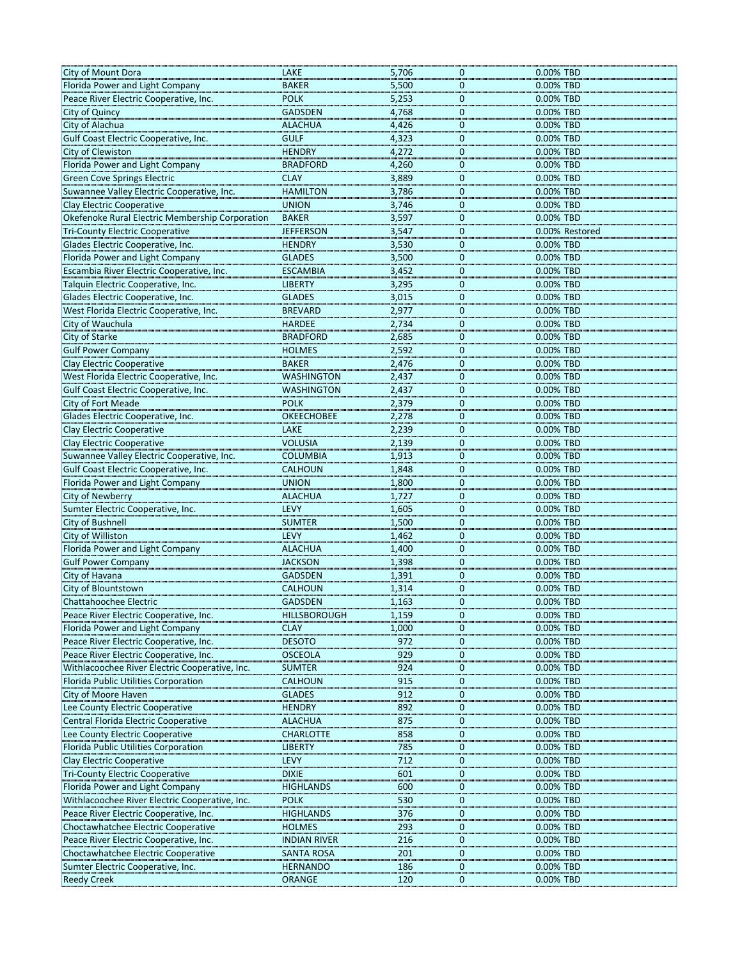| City of Mount Dora                                                        | LAKE                               | 5,706                          | 0.00% TBD<br>0                                    |
|---------------------------------------------------------------------------|------------------------------------|--------------------------------|---------------------------------------------------|
| Florida Power and Light Company                                           | <b>BAKER</b>                       | 5,500                          | 0.00% TBD<br>$\mathbf 0$                          |
| Peace River Electric Cooperative, Inc.                                    | <b>POLK</b>                        | 5,253                          | 0.00% TBD<br>0                                    |
| City of Quincy                                                            | <b>GADSDEN</b>                     | 4,768                          | 0.00% TBD<br>$\mathbf{0}$                         |
| City of Alachua                                                           | <b>ALACHUA</b>                     | 4,426                          | 0.00% TBD<br>0                                    |
| Gulf Coast Electric Cooperative, Inc.                                     | <b>GULF</b>                        | 4,323                          | 0.00% TBD<br>0                                    |
| City of Clewiston                                                         | <b>HENDRY</b>                      | 4,272                          | 0<br>0.00% TBD                                    |
| Florida Power and Light Company                                           | <b>BRADFORD</b>                    | 4,260                          | 0.00% TBD<br>0                                    |
| <b>Green Cove Springs Electric</b>                                        | <b>CLAY</b>                        | 3,889                          | 0.00% TBD<br>$\mathbf 0$                          |
| Suwannee Valley Electric Cooperative, Inc.                                | <b>HAMILTON</b>                    | 3,786                          | 0.00% TBD<br>0                                    |
| <b>Clay Electric Cooperative</b>                                          | <b>UNION</b>                       | 3,746                          | 0.00% TBD<br>0                                    |
| Okefenoke Rural Electric Membership Corporation                           | <b>BAKER</b>                       | 3,597                          | 0.00% TBD<br>$\Omega$                             |
| <b>Tri-County Electric Cooperative</b>                                    | <b>JEFFERSON</b>                   | 3,547                          | 0<br>0.00% Restored                               |
| Glades Electric Cooperative, Inc.                                         | <b>HENDRY</b>                      | 3,530                          | 0.00% TBD<br>0                                    |
| Florida Power and Light Company                                           | <b>GLADES</b>                      | 3,500                          | 0.00% TBD<br>$\Omega$                             |
| Escambia River Electric Cooperative, Inc.                                 | <b>ESCAMBIA</b>                    | 3,452                          | 0.00% TBD<br>0                                    |
| Talquin Electric Cooperative, Inc.                                        | <b>LIBERTY</b>                     | 3,295                          | 0.00% TBD<br>0                                    |
| Glades Electric Cooperative, Inc.                                         | <b>GLADES</b>                      | 3,015                          | 0.00% TBD<br>0                                    |
| West Florida Electric Cooperative, Inc.                                   | <b>BREVARD</b>                     | 2,977                          | 0.00% TBD<br>0                                    |
| City of Wauchula                                                          | <b>HARDEE</b>                      | 2,734                          | 0.00% TBD<br>$\mathbf 0$                          |
| City of Starke                                                            | <b>BRADFORD</b>                    | 2,685                          | 0.00% TBD<br>$\mathbf 0$                          |
| <b>Gulf Power Company</b>                                                 | <b>HOLMES</b>                      | 2,592                          | 0.00% TBD<br>$\Omega$                             |
| <b>Clay Electric Cooperative</b>                                          | <b>BAKER</b>                       | 2,476                          | 0.00% TBD<br>0                                    |
| West Florida Electric Cooperative, Inc.                                   | <b>WASHINGTON</b>                  | 2,437                          | 0.00% TBD<br>0                                    |
| Gulf Coast Electric Cooperative, Inc.                                     | <b>WASHINGTON</b>                  | 2,437                          | $\mathbf 0$<br>0.00% TBD                          |
| City of Fort Meade                                                        | <b>POLK</b>                        | 2,379                          | 0.00% TBD<br>0                                    |
| Glades Electric Cooperative, Inc.                                         | <b>OKEECHOBEE</b>                  | 2,278                          | 0.00% TBD<br>$\Omega$                             |
| <b>Clay Electric Cooperative</b>                                          | LAKE                               | 2,239                          | 0.00% TBD<br>0                                    |
| <b>Clay Electric Cooperative</b>                                          | <b>VOLUSIA</b>                     | 2,139                          | 0.00% TBD<br>$\Omega$                             |
| Suwannee Valley Electric Cooperative, Inc.                                | <b>COLUMBIA</b>                    | 1,913                          | 0.00% TBD<br>0                                    |
| Gulf Coast Electric Cooperative, Inc.                                     | <b>CALHOUN</b>                     | 1,848                          | 0.00% TBD<br>$\Omega$                             |
| Florida Power and Light Company                                           | <b>UNION</b>                       | 1,800                          | 0<br>0.00% TBD                                    |
| <b>City of Newberry</b>                                                   | <b>ALACHUA</b>                     | 1,727                          | 0.00% TBD<br>0                                    |
| Sumter Electric Cooperative, Inc.                                         | <b>LEVY</b>                        | 1,605                          | 0.00% TBD<br>0                                    |
| City of Bushnell                                                          | <b>SUMTER</b>                      | 1,500                          | 0.00% TBD<br>0                                    |
| City of Williston                                                         | <b>LEVY</b>                        | 1,462                          | 0.00% TBD<br>0                                    |
| Florida Power and Light Company                                           | <b>ALACHUA</b>                     | 1,400                          | 0.00% TBD<br>0                                    |
| <b>Gulf Power Company</b>                                                 | <b>JACKSON</b>                     | 1,398                          | $\Omega$<br>0.00% TBD                             |
| City of Havana                                                            | <b>GADSDEN</b>                     | 1,391                          | 0<br>0.00% TBD                                    |
| City of Blountstown                                                       | <b>CALHOUN</b>                     | 1,314                          | 0.00% TBD<br>0                                    |
| <b>Chattahoochee Electric</b>                                             | <b>GADSDEN</b>                     | 1,163                          | 0.00% TBD<br>0                                    |
| Peace River Electric Cooperative, Inc.<br>Florida Power and Light Company | <b>HILLSBOROUGH</b><br><b>CLAY</b> | 1,159<br>1,000                 | $\mathbf 0$<br>0.00% TBD<br>0.00% TBD<br>$\Omega$ |
| Peace River Electric Cooperative, Inc.                                    | <b>DESOTO</b>                      | 972                            | 0.00% TBD<br>0                                    |
| Peace River Electric Cooperative, Inc.                                    | <b>OSCEOLA</b>                     | 929                            | 0.00% TBD<br>$\Omega$                             |
| Withlacoochee River Electric Cooperative, Inc.                            | <b>SUMTER</b>                      | 924                            | 0.00% TBD<br>0                                    |
| Florida Public Utilities Corporation                                      | <b>CALHOUN</b>                     | 915                            | $\Omega$<br>0.00% TBD                             |
| City of Moore Haven                                                       | <b>GLADES</b>                      | 912                            | 0.00% TBD<br>$\Omega$                             |
| Lee County Electric Cooperative                                           | <b>HENDRY</b>                      | 892                            | 0.00% TBD<br>$\mathbf{0}$                         |
| Central Florida Electric Cooperative                                      | <b>ALACHUA</b>                     | 875                            | 0.00% TBD<br>$\Omega$                             |
| Lee County Electric Cooperative                                           | <b>CHARLOTTE</b>                   | 858                            | 0.00% TBD<br>$\mathbf 0$                          |
| Florida Public Utilities Corporation                                      | <b>LIBERTY</b>                     | 785                            | 0.00% TBD<br>$\Omega$                             |
| <b>Clay Electric Cooperative</b>                                          | <b>LEVY</b>                        | 712                            | 0<br>0.00% TBD                                    |
| <b>Tri-County Electric Cooperative</b>                                    | <b>DIXIE</b>                       | 601                            | 0.00% TBD<br>$\Omega$                             |
| Florida Power and Light Company                                           | <b>HIGHLANDS</b>                   | 600                            | 0.00% TBD<br>0                                    |
| Withlacoochee River Electric Cooperative, Inc.                            | <b>POLK</b>                        | 530                            | 0.00% TBD<br>$\mathbf 0$                          |
| Peace River Electric Cooperative, Inc.                                    | <b>HIGHLANDS</b>                   | 376                            | 0.00% TBD<br>$\Omega$                             |
| Choctawhatchee Electric Cooperative                                       | <b>HOLMES</b>                      | 293                            | 0.00% TBD<br>0                                    |
| Peace River Electric Cooperative, Inc.                                    | <b>INDIAN RIVER</b>                | 216                            | 0.00% TBD<br>$\mathbf{0}$                         |
| Choctawhatchee Electric Cooperative                                       | <b>SANTA ROSA</b>                  | 201                            | $\mathbf 0$<br>0.00% TBD                          |
| Sumter Electric Cooperative, Inc.                                         | <b>HERNANDO</b>                    | 186                            | 0.00% TBD<br>0                                    |
| <b>Reedy Creek</b>                                                        | <b>ORANGE</b>                      | 120<br>$\overline{\mathbf{0}}$ | 0.00% TBD                                         |